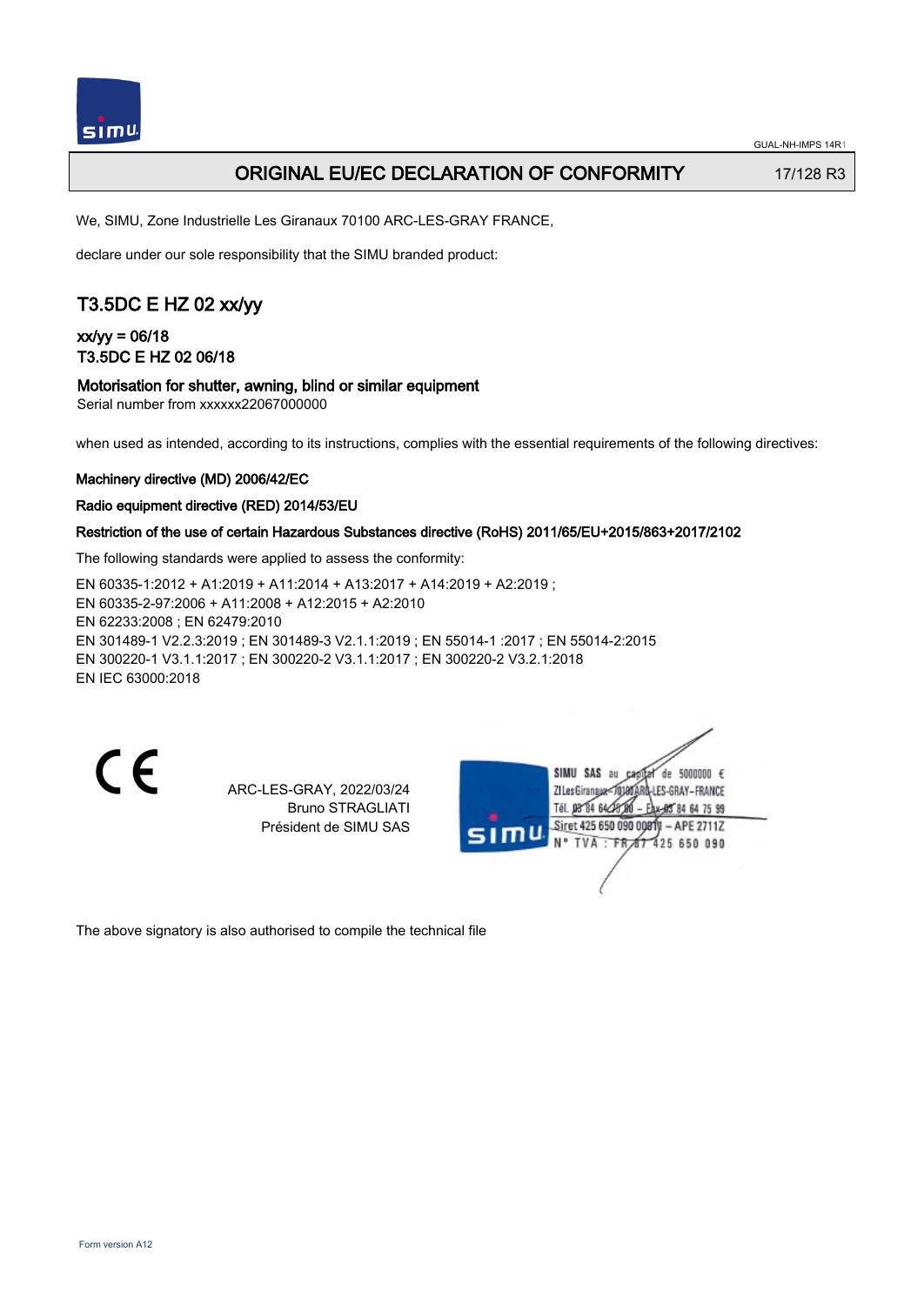

## ORIGINAL EU/EC DECLARATION OF CONFORMITY 17/128 R3

We, SIMU, Zone Industrielle Les Giranaux 70100 ARC-LES-GRAY FRANCE,

declare under our sole responsibility that the SIMU branded product:

# T3.5DC E HZ 02 xx/yy

xx/yy = 06/18 T3.5DC E HZ 02 06/18

### Motorisation for shutter, awning, blind or similar equipment

Serial number from xxxxxx22067000000

when used as intended, according to its instructions, complies with the essential requirements of the following directives:

### Machinery directive (MD) 2006/42/EC

### Radio equipment directive (RED) 2014/53/EU

### Restriction of the use of certain Hazardous Substances directive (RoHS) 2011/65/EU+2015/863+2017/2102

The following standards were applied to assess the conformity:

EN 60335‑1:2012 + A1:2019 + A11:2014 + A13:2017 + A14:2019 + A2:2019 ; EN 60335‑2‑97:2006 + A11:2008 + A12:2015 + A2:2010 EN 62233:2008 ; EN 62479:2010 EN 301489‑1 V2.2.3:2019 ; EN 301489‑3 V2.1.1:2019 ; EN 55014‑1 :2017 ; EN 55014‑2:2015 EN 300220‑1 V3.1.1:2017 ; EN 300220‑2 V3.1.1:2017 ; EN 300220‑2 V3.2.1:2018 EN IEC 63000:2018

CE

ARC-LES-GRAY, 2022/03/24 Bruno STRAGLIATI Président de SIMU SAS

SIMU SAS au de 5000000  $\epsilon$ ZI Les Giranaux-70180ARD -LES-GRAY-FRANCE Tél. 08 84 64 28 584 64 75 99 Siret 425 650 090 00811 - APE 2711Z TVA · FRAT 425 650 090

The above signatory is also authorised to compile the technical file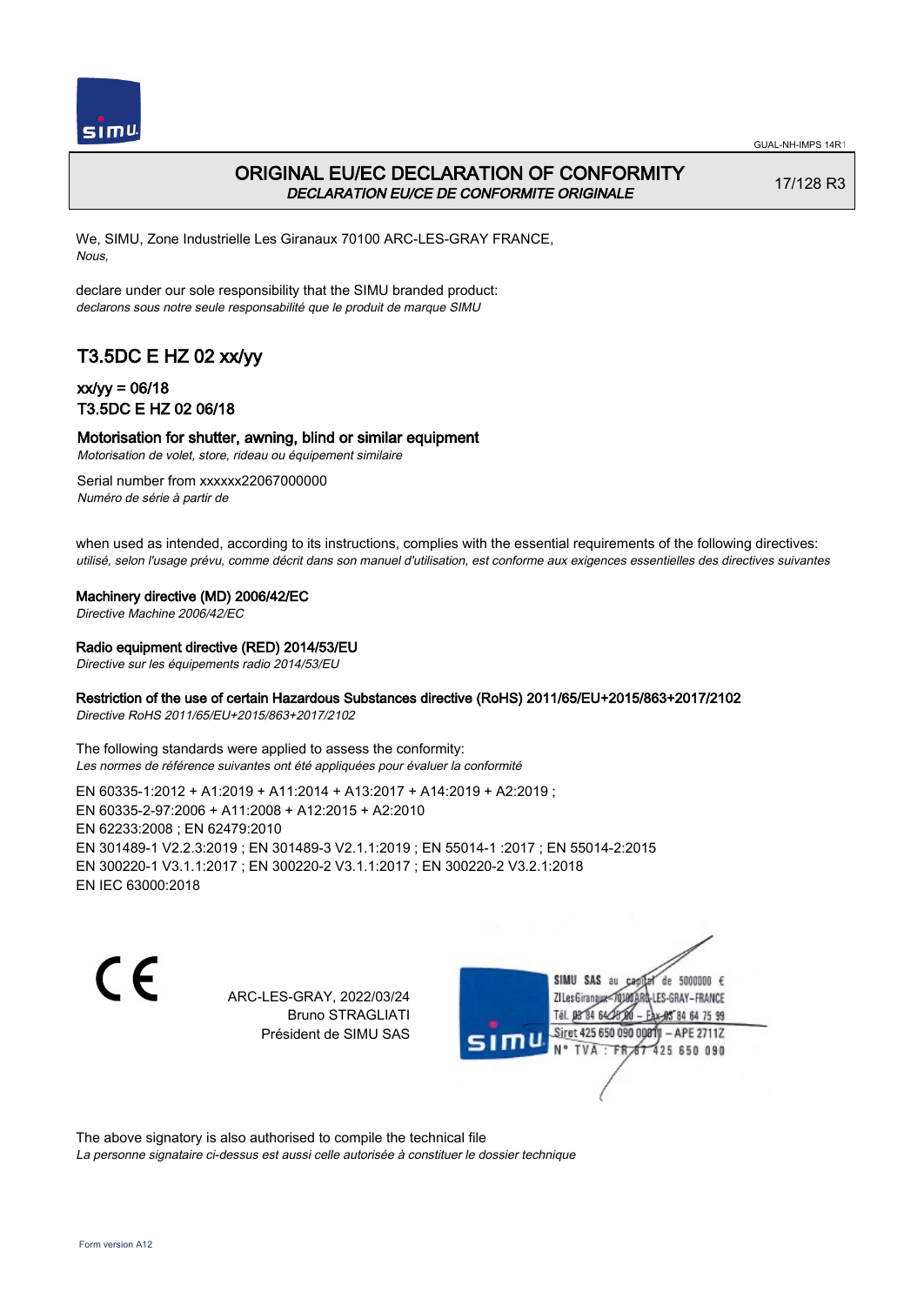

## ORIGINAL EU/EC DECLARATION OF CONFORMITY DECLARATION EU/CE DE CONFORMITE ORIGINALE

17/128 R3

We, SIMU, Zone Industrielle Les Giranaux 70100 ARC-LES-GRAY FRANCE, Nous,

declare under our sole responsibility that the SIMU branded product: declarons sous notre seule responsabilité que le produit de marque SIMU

# T3.5DC E HZ 02 xx/yy

### xx/yy = 06/18 T3.5DC E HZ 02 06/18

### Motorisation for shutter, awning, blind or similar equipment

Motorisation de volet, store, rideau ou équipement similaire

Serial number from xxxxxx22067000000 Numéro de série à partir de

when used as intended, according to its instructions, complies with the essential requirements of the following directives: utilisé, selon l'usage prévu, comme décrit dans son manuel d'utilisation, est conforme aux exigences essentielles des directives suivantes

Machinery directive (MD) 2006/42/EC

Directive Machine 2006/42/EC

Radio equipment directive (RED) 2014/53/EU

Directive sur les équipements radio 2014/53/EU

### Restriction of the use of certain Hazardous Substances directive (RoHS) 2011/65/EU+2015/863+2017/2102

Directive RoHS 2011/65/EU+2015/863+2017/2102

The following standards were applied to assess the conformity: Les normes de référence suivantes ont été appliquées pour évaluer la conformité

EN 60335‑1:2012 + A1:2019 + A11:2014 + A13:2017 + A14:2019 + A2:2019 ; EN 60335‑2‑97:2006 + A11:2008 + A12:2015 + A2:2010 EN 62233:2008 ; EN 62479:2010 EN 301489‑1 V2.2.3:2019 ; EN 301489‑3 V2.1.1:2019 ; EN 55014‑1 :2017 ; EN 55014‑2:2015 EN 300220‑1 V3.1.1:2017 ; EN 300220‑2 V3.1.1:2017 ; EN 300220‑2 V3.2.1:2018 EN IEC 63000:2018

C F

ARC-LES-GRAY, 2022/03/24 Bruno STRAGLIATI Président de SIMU SAS

de 5000000  $\epsilon$ SIMU SAS au ZI Les Giranaux<sup>2</sup> ES-GRAY-FRANCE Tél. 08 84 64 2 64 75 99 Siret 425 650 090 00811  $-$  APF 27117 125 650 090

The above signatory is also authorised to compile the technical file

La personne signataire ci-dessus est aussi celle autorisée à constituer le dossier technique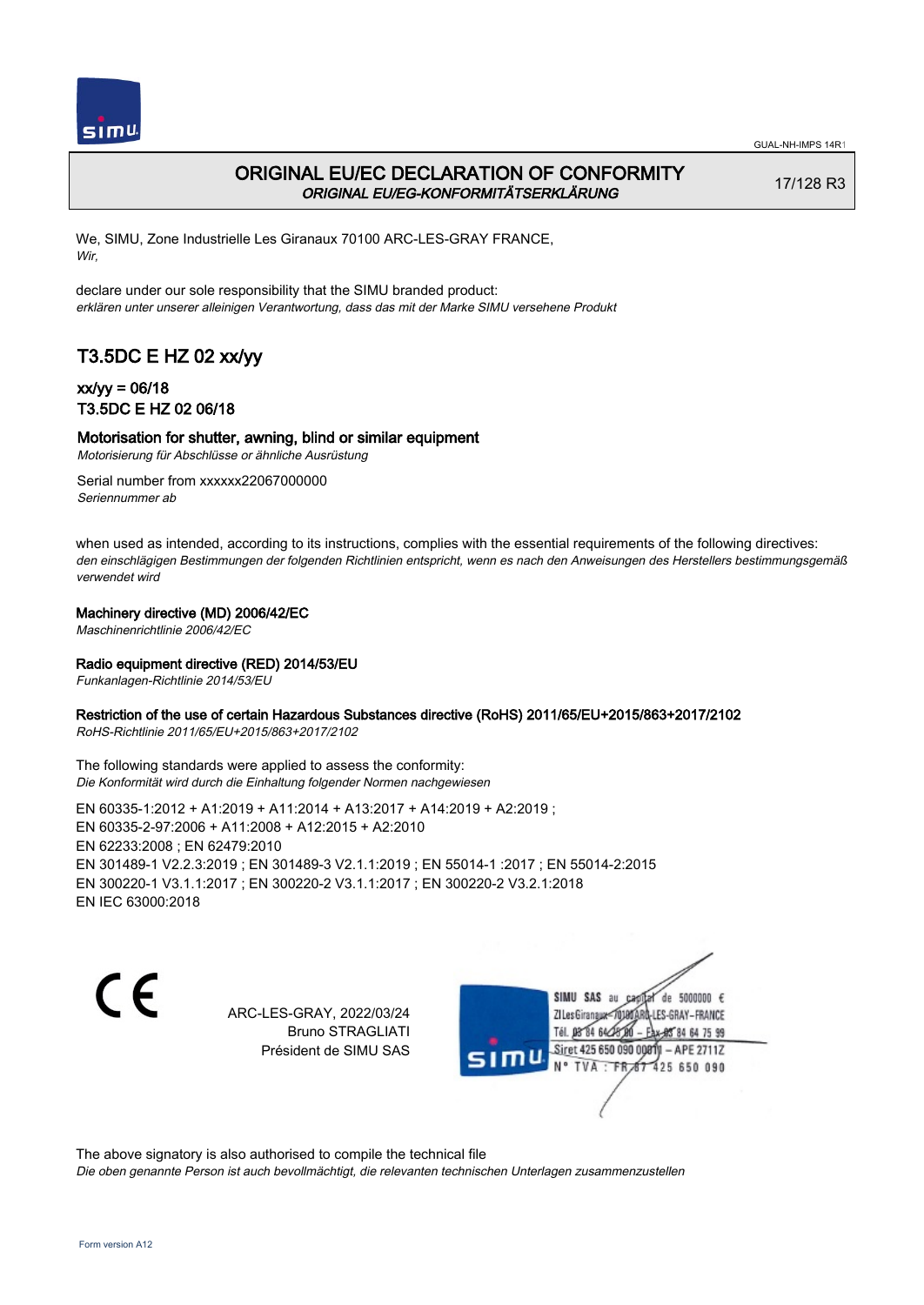

# ORIGINAL EU/EC DECLARATION OF CONFORMITY ORIGINAL EU/EG-KONFORMITÄTSERKLÄRUNG

17/128 R3

We, SIMU, Zone Industrielle Les Giranaux 70100 ARC-LES-GRAY FRANCE, Wir,

declare under our sole responsibility that the SIMU branded product: erklären unter unserer alleinigen Verantwortung, dass das mit der Marke SIMU versehene Produkt

# T3.5DC E HZ 02 xx/yy

### xx/yy = 06/18 T3.5DC E HZ 02 06/18

### Motorisation for shutter, awning, blind or similar equipment

Motorisierung für Abschlüsse or ähnliche Ausrüstung

Serial number from xxxxxx22067000000 Seriennummer ab

when used as intended, according to its instructions, complies with the essential requirements of the following directives: den einschlägigen Bestimmungen der folgenden Richtlinien entspricht, wenn es nach den Anweisungen des Herstellers bestimmungsgemäß verwendet wird

### Machinery directive (MD) 2006/42/EC

Maschinenrichtlinie 2006/42/EC

### Radio equipment directive (RED) 2014/53/EU

Funkanlagen-Richtlinie 2014/53/EU

### Restriction of the use of certain Hazardous Substances directive (RoHS) 2011/65/EU+2015/863+2017/2102

RoHS-Richtlinie 2011/65/EU+2015/863+2017/2102

The following standards were applied to assess the conformity: Die Konformität wird durch die Einhaltung folgender Normen nachgewiesen

EN 60335‑1:2012 + A1:2019 + A11:2014 + A13:2017 + A14:2019 + A2:2019 ; EN 60335‑2‑97:2006 + A11:2008 + A12:2015 + A2:2010 EN 62233:2008 ; EN 62479:2010 EN 301489‑1 V2.2.3:2019 ; EN 301489‑3 V2.1.1:2019 ; EN 55014‑1 :2017 ; EN 55014‑2:2015 EN 300220‑1 V3.1.1:2017 ; EN 300220‑2 V3.1.1:2017 ; EN 300220‑2 V3.2.1:2018 EN IEC 63000:2018

 $\epsilon$ 

ARC-LES-GRAY, 2022/03/24 Bruno STRAGLIATI Président de SIMU SAS

de 5000000  $\epsilon$ SIMU SAS au ZI Les Giranauxe LES-GRAY-FRANCE Tél. 08 84 64 24 95 84 64 75 99 Siret 425 650 090 00811 - APE 2711Z  $TVA$ : FRAT 425 650 090

The above signatory is also authorised to compile the technical file

Die oben genannte Person ist auch bevollmächtigt, die relevanten technischen Unterlagen zusammenzustellen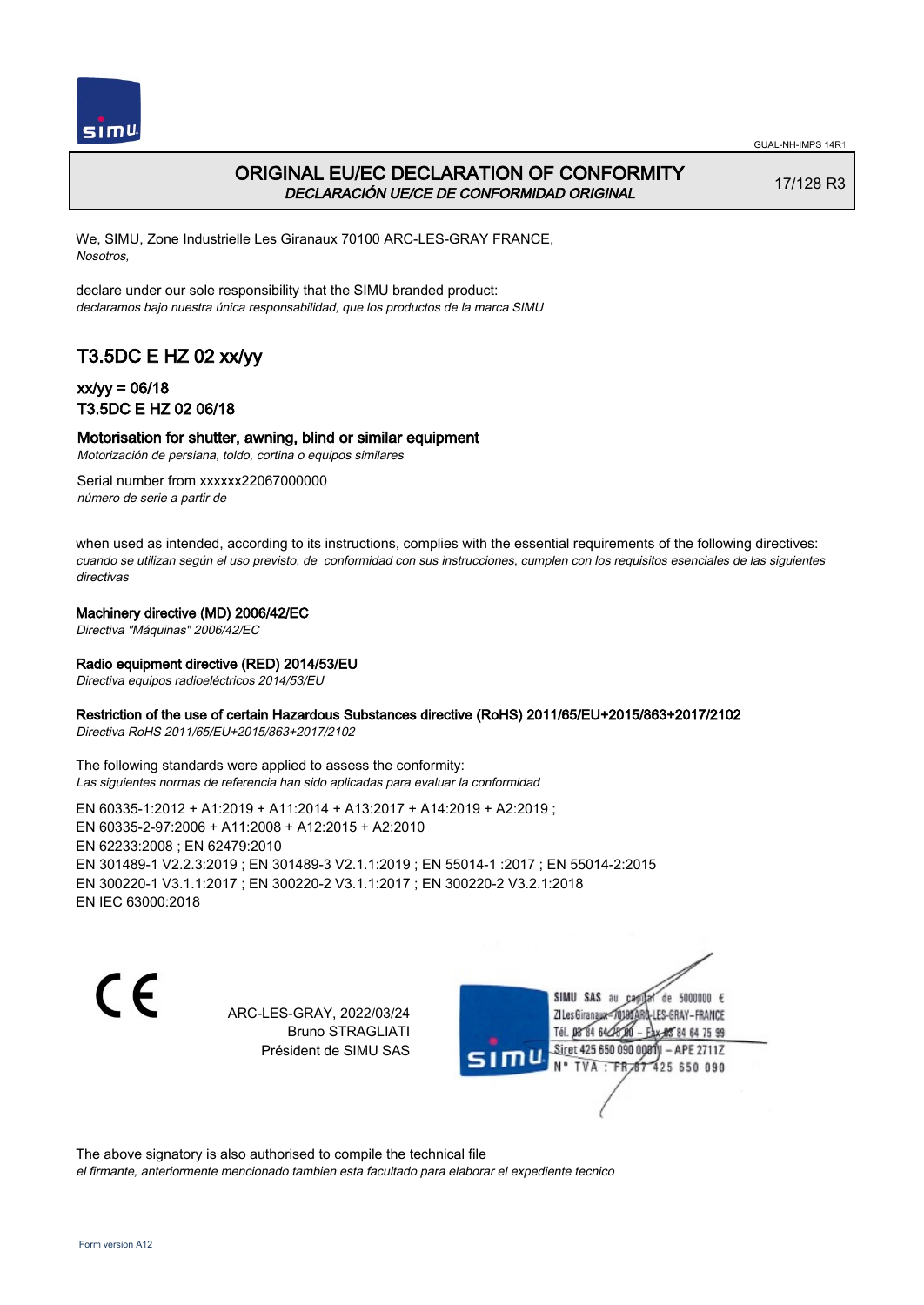

## ORIGINAL EU/EC DECLARATION OF CONFORMITY DECLARACIÓN UE/CE DE CONFORMIDAD ORIGINAL

17/128 R3

We, SIMU, Zone Industrielle Les Giranaux 70100 ARC-LES-GRAY FRANCE, Nosotros,

declare under our sole responsibility that the SIMU branded product: declaramos bajo nuestra única responsabilidad, que los productos de la marca SIMU

# T3.5DC E HZ 02 xx/yy

### xx/yy = 06/18 T3.5DC E HZ 02 06/18

### Motorisation for shutter, awning, blind or similar equipment

Motorización de persiana, toldo, cortina o equipos similares

Serial number from xxxxxx22067000000 número de serie a partir de

when used as intended, according to its instructions, complies with the essential requirements of the following directives: cuando se utilizan según el uso previsto, de conformidad con sus instrucciones, cumplen con los requisitos esenciales de las siguientes directivas

#### Machinery directive (MD) 2006/42/EC

Directiva "Máquinas" 2006/42/EC

#### Radio equipment directive (RED) 2014/53/EU

Directiva equipos radioeléctricos 2014/53/EU

#### Restriction of the use of certain Hazardous Substances directive (RoHS) 2011/65/EU+2015/863+2017/2102

Directiva RoHS 2011/65/EU+2015/863+2017/2102

The following standards were applied to assess the conformity: Las siguientes normas de referencia han sido aplicadas para evaluar la conformidad

EN 60335‑1:2012 + A1:2019 + A11:2014 + A13:2017 + A14:2019 + A2:2019 ; EN 60335‑2‑97:2006 + A11:2008 + A12:2015 + A2:2010 EN 62233:2008 ; EN 62479:2010 EN 301489‑1 V2.2.3:2019 ; EN 301489‑3 V2.1.1:2019 ; EN 55014‑1 :2017 ; EN 55014‑2:2015 EN 300220‑1 V3.1.1:2017 ; EN 300220‑2 V3.1.1:2017 ; EN 300220‑2 V3.2.1:2018 EN IEC 63000:2018

 $\epsilon$ 

ARC-LES-GRAY, 2022/03/24 Bruno STRAGLIATI Président de SIMU SAS

de 5000000  $\epsilon$ SIMU SAS au ZI Les Giranaux< LES-GRAY-FRANCE Tél. 08 84 64 24 95 84 64 75 99 Siret 425 650 090 00811 - APE 2711Z TVA: FR 67 425 650 090

The above signatory is also authorised to compile the technical file el firmante, anteriormente mencionado tambien esta facultado para elaborar el expediente tecnico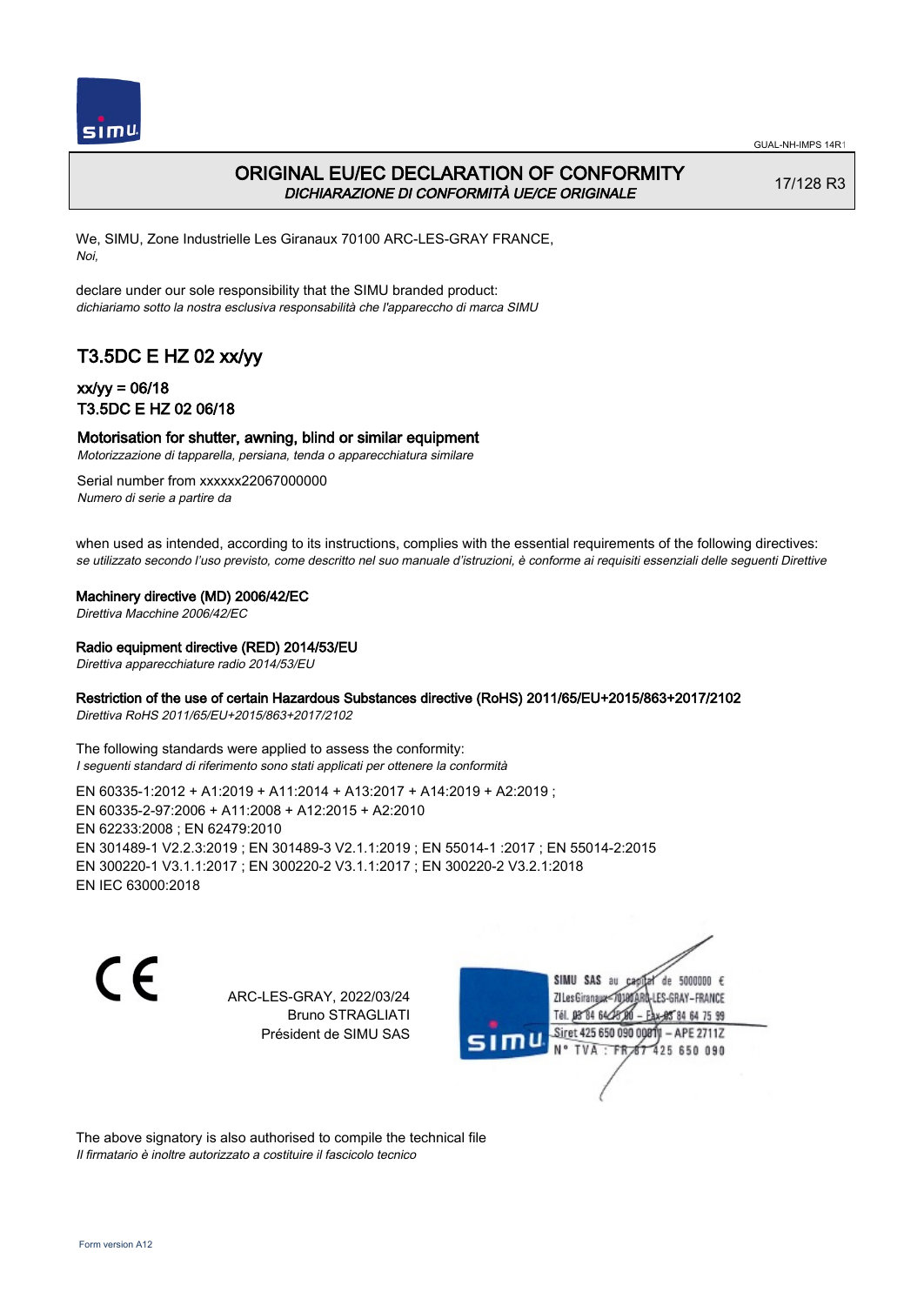

## ORIGINAL EU/EC DECLARATION OF CONFORMITY DICHIARAZIONE DI CONFORMITÀ UE/CE ORIGINALE

17/128 R3

We, SIMU, Zone Industrielle Les Giranaux 70100 ARC-LES-GRAY FRANCE, Noi,

declare under our sole responsibility that the SIMU branded product: dichiariamo sotto la nostra esclusiva responsabilità che l'appareccho di marca SIMU

# T3.5DC E HZ 02 xx/yy

## xx/yy = 06/18 T3.5DC E HZ 02 06/18

### Motorisation for shutter, awning, blind or similar equipment

Motorizzazione di tapparella, persiana, tenda o apparecchiatura similare

Serial number from xxxxxx22067000000 Numero di serie a partire da

when used as intended, according to its instructions, complies with the essential requirements of the following directives: se utilizzato secondo l'uso previsto, come descritto nel suo manuale d'istruzioni, è conforme ai requisiti essenziali delle seguenti Direttive

Machinery directive (MD) 2006/42/EC

Direttiva Macchine 2006/42/EC

#### Radio equipment directive (RED) 2014/53/EU

Direttiva apparecchiature radio 2014/53/EU

### Restriction of the use of certain Hazardous Substances directive (RoHS) 2011/65/EU+2015/863+2017/2102

Direttiva RoHS 2011/65/EU+2015/863+2017/2102

The following standards were applied to assess the conformity: I seguenti standard di riferimento sono stati applicati per ottenere la conformità

EN 60335‑1:2012 + A1:2019 + A11:2014 + A13:2017 + A14:2019 + A2:2019 ; EN 60335‑2‑97:2006 + A11:2008 + A12:2015 + A2:2010 EN 62233:2008 ; EN 62479:2010 EN 301489‑1 V2.2.3:2019 ; EN 301489‑3 V2.1.1:2019 ; EN 55014‑1 :2017 ; EN 55014‑2:2015 EN 300220‑1 V3.1.1:2017 ; EN 300220‑2 V3.1.1:2017 ; EN 300220‑2 V3.2.1:2018 EN IEC 63000:2018

C F

ARC-LES-GRAY, 2022/03/24 Bruno STRAGLIATI Président de SIMU SAS

de 5000000  $\epsilon$ SIMU SAS au ZI Les Giranaux< ES-GRAY-FRANCE Tél. 08 84 64 2 64 75 99 Siret 425 650 090 00811  $-$  APF 27117 125 650 090

The above signatory is also authorised to compile the technical file Il firmatario è inoltre autorizzato a costituire il fascicolo tecnico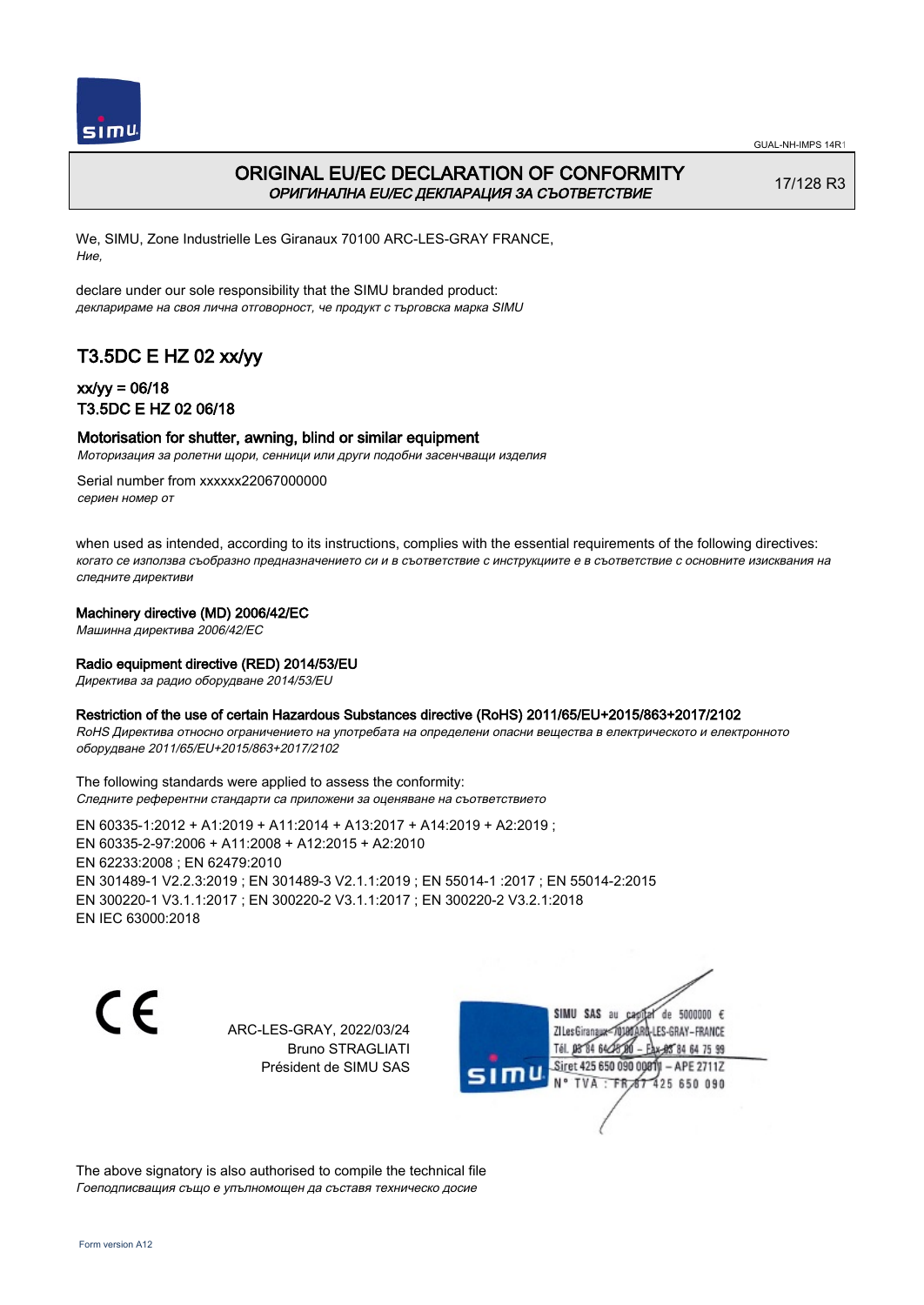

# ORIGINAL EU/EC DECLARATION OF CONFORMITY ОРИГИНАЛНА EU/EC ДЕКЛАРАЦИЯ ЗА СЪОТВЕТСТВИЕ

17/128 R3

We, SIMU, Zone Industrielle Les Giranaux 70100 ARC-LES-GRAY FRANCE, Ние,

declare under our sole responsibility that the SIMU branded product: декларираме на своя лична отговорност, че продукт с търговска марка SIMU

# T3.5DC E HZ 02 xx/yy

### xx/yy = 06/18 T3.5DC E HZ 02 06/18

### Motorisation for shutter, awning, blind or similar equipment

Моторизация за ролетни щори, сенници или други подобни засенчващи изделия

Serial number from xxxxxx22067000000 сериен номер от

when used as intended, according to its instructions, complies with the essential requirements of the following directives: когато се използва съобразно предназначението си и в съответствие с инструкциите е в съответствие с основните изисквания на следните директиви

### Machinery directive (MD) 2006/42/EC

Машинна директива 2006/42/EC

#### Radio equipment directive (RED) 2014/53/EU

Директива за радио оборудване 2014/53/EU

#### Restriction of the use of certain Hazardous Substances directive (RoHS) 2011/65/EU+2015/863+2017/2102

RoHS Директива относно ограничението на употребата на определени опасни вещества в електрическото и електронното оборудване 2011/65/EU+2015/863+2017/2102

The following standards were applied to assess the conformity: Следните референтни стандарти са приложени за оценяване на съответствието

EN 60335‑1:2012 + A1:2019 + A11:2014 + A13:2017 + A14:2019 + A2:2019 ; EN 60335‑2‑97:2006 + A11:2008 + A12:2015 + A2:2010 EN 62233:2008 ; EN 62479:2010 EN 301489‑1 V2.2.3:2019 ; EN 301489‑3 V2.1.1:2019 ; EN 55014‑1 :2017 ; EN 55014‑2:2015 EN 300220‑1 V3.1.1:2017 ; EN 300220‑2 V3.1.1:2017 ; EN 300220‑2 V3.2.1:2018 EN IEC 63000:2018

CE

ARC-LES-GRAY, 2022/03/24 Bruno STRAGLIATI Président de SIMU SAS



The above signatory is also authorised to compile the technical file Гоеподписващия също е упълномощен да съставя техническо досие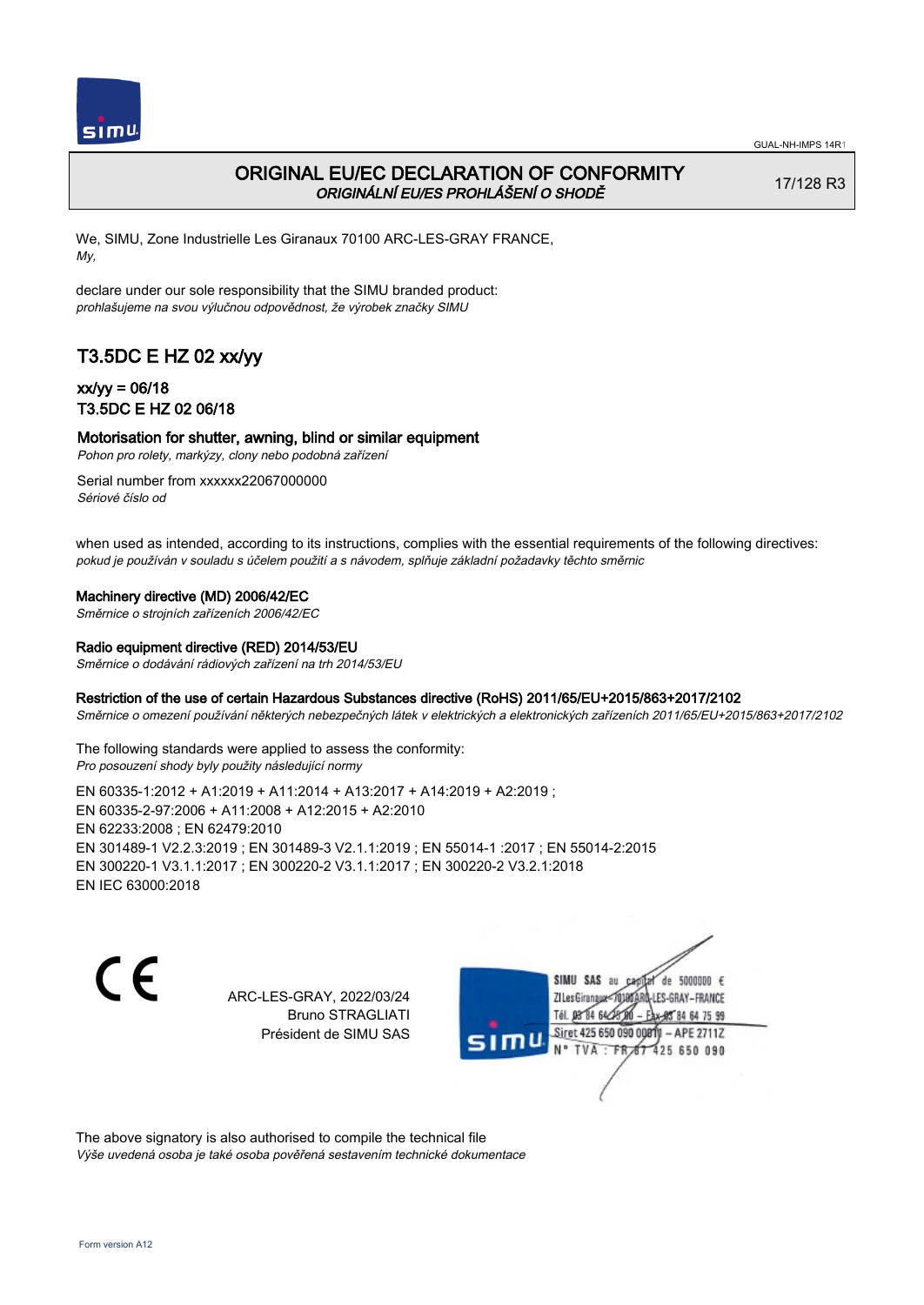

# ORIGINAL EU/EC DECLARATION OF CONFORMITY ORIGINÁLNÍ EU/ES PROHLÁŠENÍ O SHODĚ

17/128 R3

We, SIMU, Zone Industrielle Les Giranaux 70100 ARC-LES-GRAY FRANCE, My,

declare under our sole responsibility that the SIMU branded product: prohlašujeme na svou výlučnou odpovědnost, že výrobek značky SIMU

# T3.5DC E HZ 02 xx/yy

## xx/yy = 06/18 T3.5DC E HZ 02 06/18

### Motorisation for shutter, awning, blind or similar equipment

Pohon pro rolety, markýzy, clony nebo podobná zařízení

Serial number from xxxxxx22067000000 Sériové číslo od

when used as intended, according to its instructions, complies with the essential requirements of the following directives: pokud je používán v souladu s účelem použití a s návodem, splňuje základní požadavky těchto směrnic

### Machinery directive (MD) 2006/42/EC

Směrnice o strojních zařízeních 2006/42/EC

### Radio equipment directive (RED) 2014/53/EU

Směrnice o dodávání rádiových zařízení na trh 2014/53/EU

### Restriction of the use of certain Hazardous Substances directive (RoHS) 2011/65/EU+2015/863+2017/2102

Směrnice o omezení používání některých nebezpečných látek v elektrických a elektronických zařízeních 2011/65/EU+2015/863+2017/2102

The following standards were applied to assess the conformity: Pro posouzení shody byly použity následující normy

EN 60335‑1:2012 + A1:2019 + A11:2014 + A13:2017 + A14:2019 + A2:2019 ; EN 60335‑2‑97:2006 + A11:2008 + A12:2015 + A2:2010 EN 62233:2008 ; EN 62479:2010 EN 301489‑1 V2.2.3:2019 ; EN 301489‑3 V2.1.1:2019 ; EN 55014‑1 :2017 ; EN 55014‑2:2015 EN 300220‑1 V3.1.1:2017 ; EN 300220‑2 V3.1.1:2017 ; EN 300220‑2 V3.2.1:2018 EN IEC 63000:2018

 $\epsilon$ 

ARC-LES-GRAY, 2022/03/24 Bruno STRAGLIATI Président de SIMU SAS

de 5000000  $\epsilon$ SIMU SAS au ZI Les Giranaux</D LES-GRAY-FRANCE Tél. 08 R4 64 2 64 75 99 Siret 425 650 090 00811  $-$  APF 27117 125 650 090

The above signatory is also authorised to compile the technical file Výše uvedená osoba je také osoba pověřená sestavením technické dokumentace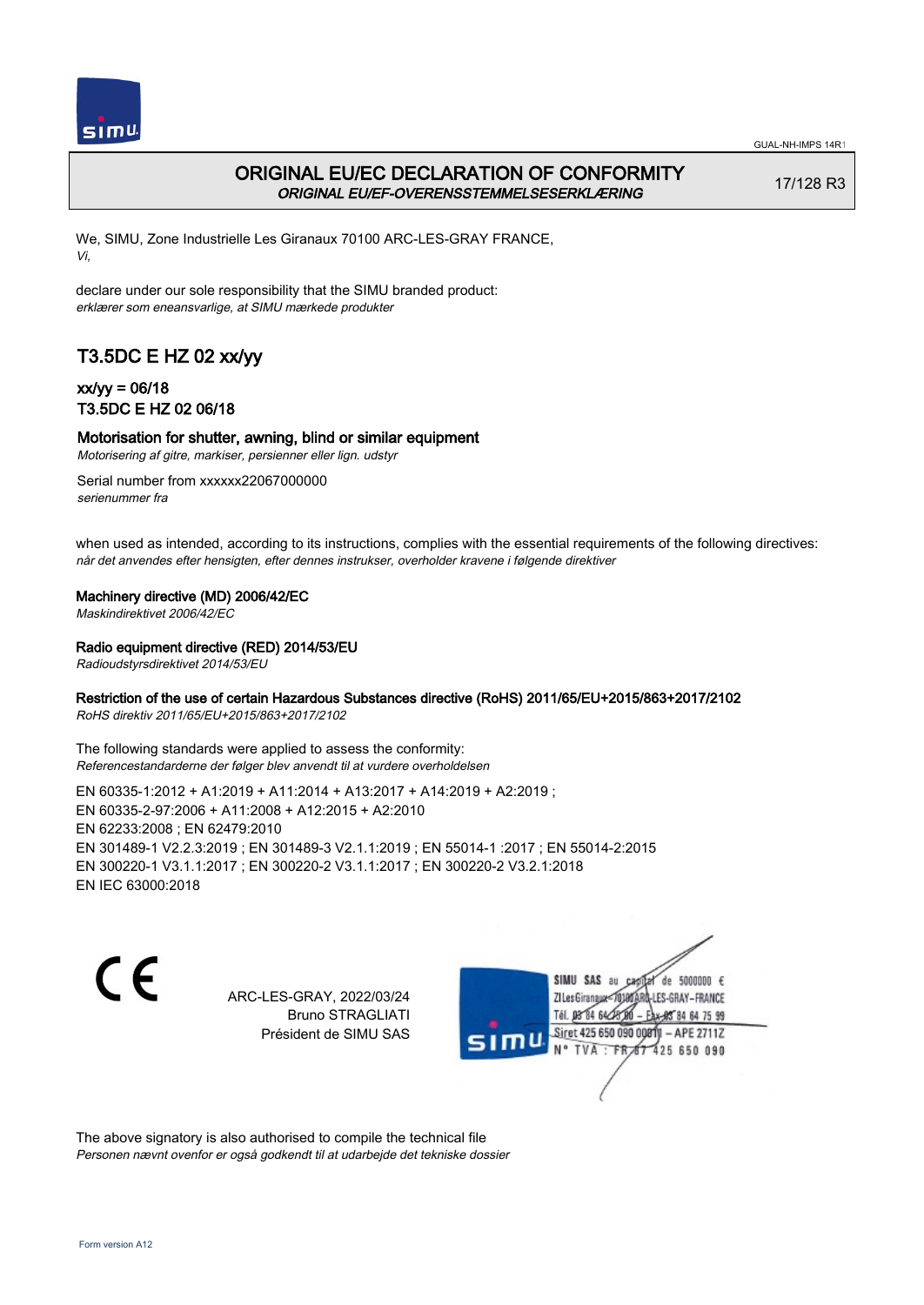

# ORIGINAL EU/EC DECLARATION OF CONFORMITY ORIGINAL EU/EF-OVERENSSTEMMELSESERKLÆRING

17/128 R3

We, SIMU, Zone Industrielle Les Giranaux 70100 ARC-LES-GRAY FRANCE, Vi,

declare under our sole responsibility that the SIMU branded product: erklærer som eneansvarlige, at SIMU mærkede produkter

# T3.5DC E HZ 02 xx/yy

## xx/yy = 06/18 T3.5DC E HZ 02 06/18

### Motorisation for shutter, awning, blind or similar equipment

Motorisering af gitre, markiser, persienner eller lign. udstyr

Serial number from xxxxxx22067000000 serienummer fra

when used as intended, according to its instructions, complies with the essential requirements of the following directives: når det anvendes efter hensigten, efter dennes instrukser, overholder kravene i følgende direktiver

Machinery directive (MD) 2006/42/EC

Maskindirektivet 2006/42/EC

Radio equipment directive (RED) 2014/53/EU

Radioudstyrsdirektivet 2014/53/EU

### Restriction of the use of certain Hazardous Substances directive (RoHS) 2011/65/EU+2015/863+2017/2102

RoHS direktiv 2011/65/EU+2015/863+2017/2102

The following standards were applied to assess the conformity: Referencestandarderne der følger blev anvendt til at vurdere overholdelsen

EN 60335‑1:2012 + A1:2019 + A11:2014 + A13:2017 + A14:2019 + A2:2019 ; EN 60335‑2‑97:2006 + A11:2008 + A12:2015 + A2:2010 EN 62233:2008 ; EN 62479:2010 EN 301489‑1 V2.2.3:2019 ; EN 301489‑3 V2.1.1:2019 ; EN 55014‑1 :2017 ; EN 55014‑2:2015 EN 300220‑1 V3.1.1:2017 ; EN 300220‑2 V3.1.1:2017 ; EN 300220‑2 V3.2.1:2018 EN IEC 63000:2018

CE

ARC-LES-GRAY, 2022/03/24 Bruno STRAGLIATI Président de SIMU SAS

de 5000000  $\epsilon$ SIMU SAS au ZI Les Giranaux< LES-GRAY-FRANCE Tél. 08 84 64 2 64 75 99 Siret 425 650 090 0081  $-$  APF 27117 125 650 090

The above signatory is also authorised to compile the technical file Personen nævnt ovenfor er også godkendt til at udarbejde det tekniske dossier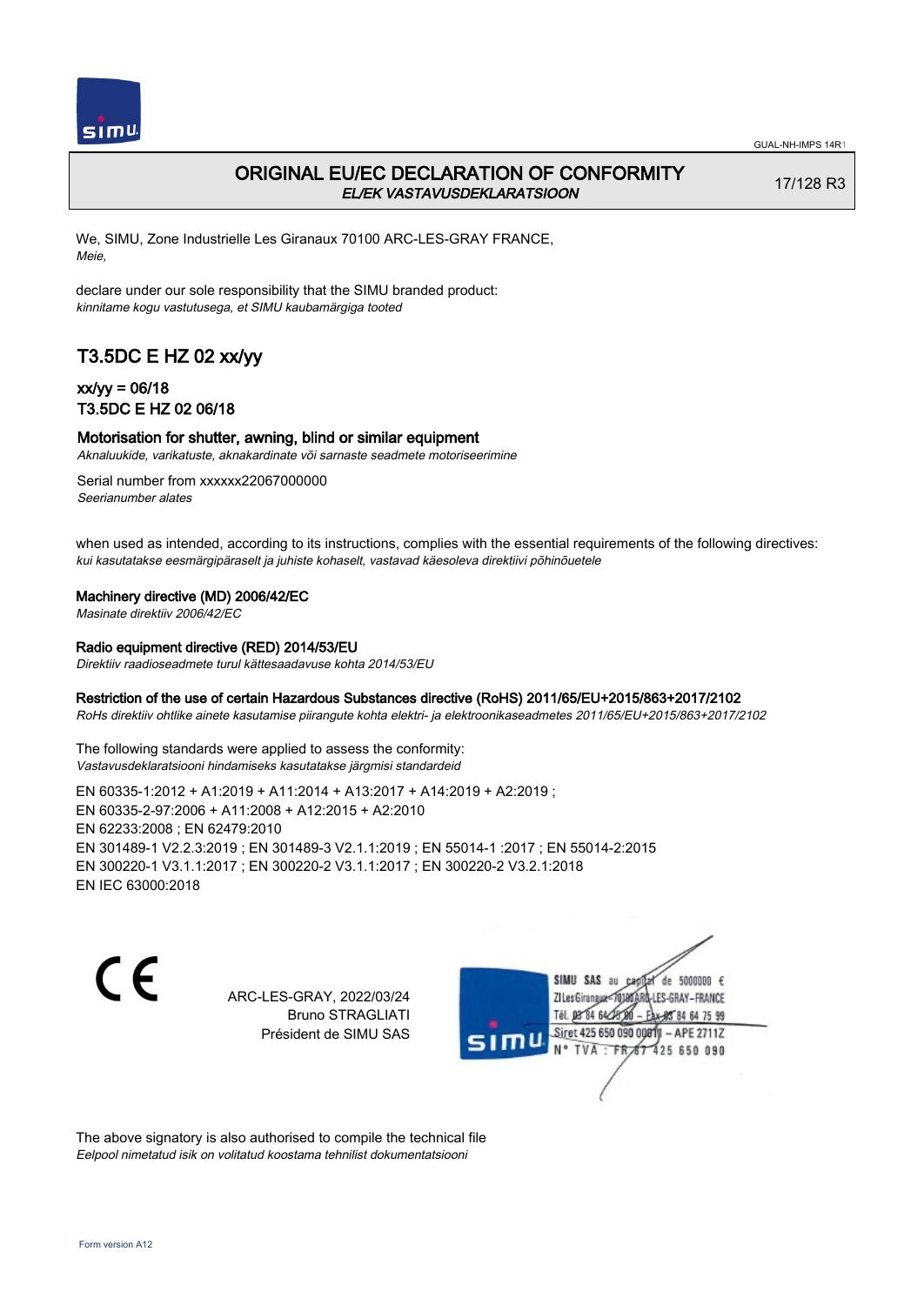

# ORIGINAL EU/EC DECLARATION OF CONFORMITY EL/EK VASTAVUSDEKLARATSIOON

17/128 R3

We, SIMU, Zone Industrielle Les Giranaux 70100 ARC-LES-GRAY FRANCE, Meie,

declare under our sole responsibility that the SIMU branded product: kinnitame kogu vastutusega, et SIMU kaubamärgiga tooted

# T3.5DC E HZ 02 xx/yy

## xx/yy = 06/18 T3.5DC E HZ 02 06/18

### Motorisation for shutter, awning, blind or similar equipment

Aknaluukide, varikatuste, aknakardinate või sarnaste seadmete motoriseerimine

Serial number from xxxxxx22067000000 Seerianumber alates

when used as intended, according to its instructions, complies with the essential requirements of the following directives: kui kasutatakse eesmärgipäraselt ja juhiste kohaselt, vastavad käesoleva direktiivi põhinõuetele

#### Machinery directive (MD) 2006/42/EC

Masinate direktiiv 2006/42/EC

#### Radio equipment directive (RED) 2014/53/EU

Direktiiv raadioseadmete turul kättesaadavuse kohta 2014/53/EU

#### Restriction of the use of certain Hazardous Substances directive (RoHS) 2011/65/EU+2015/863+2017/2102

RoHs direktiiv ohtlike ainete kasutamise piirangute kohta elektri- ja elektroonikaseadmetes 2011/65/EU+2015/863+2017/2102

The following standards were applied to assess the conformity: Vastavusdeklaratsiooni hindamiseks kasutatakse järgmisi standardeid

EN 60335‑1:2012 + A1:2019 + A11:2014 + A13:2017 + A14:2019 + A2:2019 ; EN 60335‑2‑97:2006 + A11:2008 + A12:2015 + A2:2010 EN 62233:2008 ; EN 62479:2010 EN 301489‑1 V2.2.3:2019 ; EN 301489‑3 V2.1.1:2019 ; EN 55014‑1 :2017 ; EN 55014‑2:2015 EN 300220‑1 V3.1.1:2017 ; EN 300220‑2 V3.1.1:2017 ; EN 300220‑2 V3.2.1:2018 EN IEC 63000:2018

 $\epsilon$ 

ARC-LES-GRAY, 2022/03/24 Bruno STRAGLIATI Président de SIMU SAS

de 5000000  $\epsilon$ SIMU SAS au ZI Les Giranaux<sup>2</sup> ES-GRAY-FRANCE Tél. 08 84 64 2 64 75 99 Siret 425 650 090 00811  $-$  APF 27117 125 650 090

The above signatory is also authorised to compile the technical file Eelpool nimetatud isik on volitatud koostama tehnilist dokumentatsiooni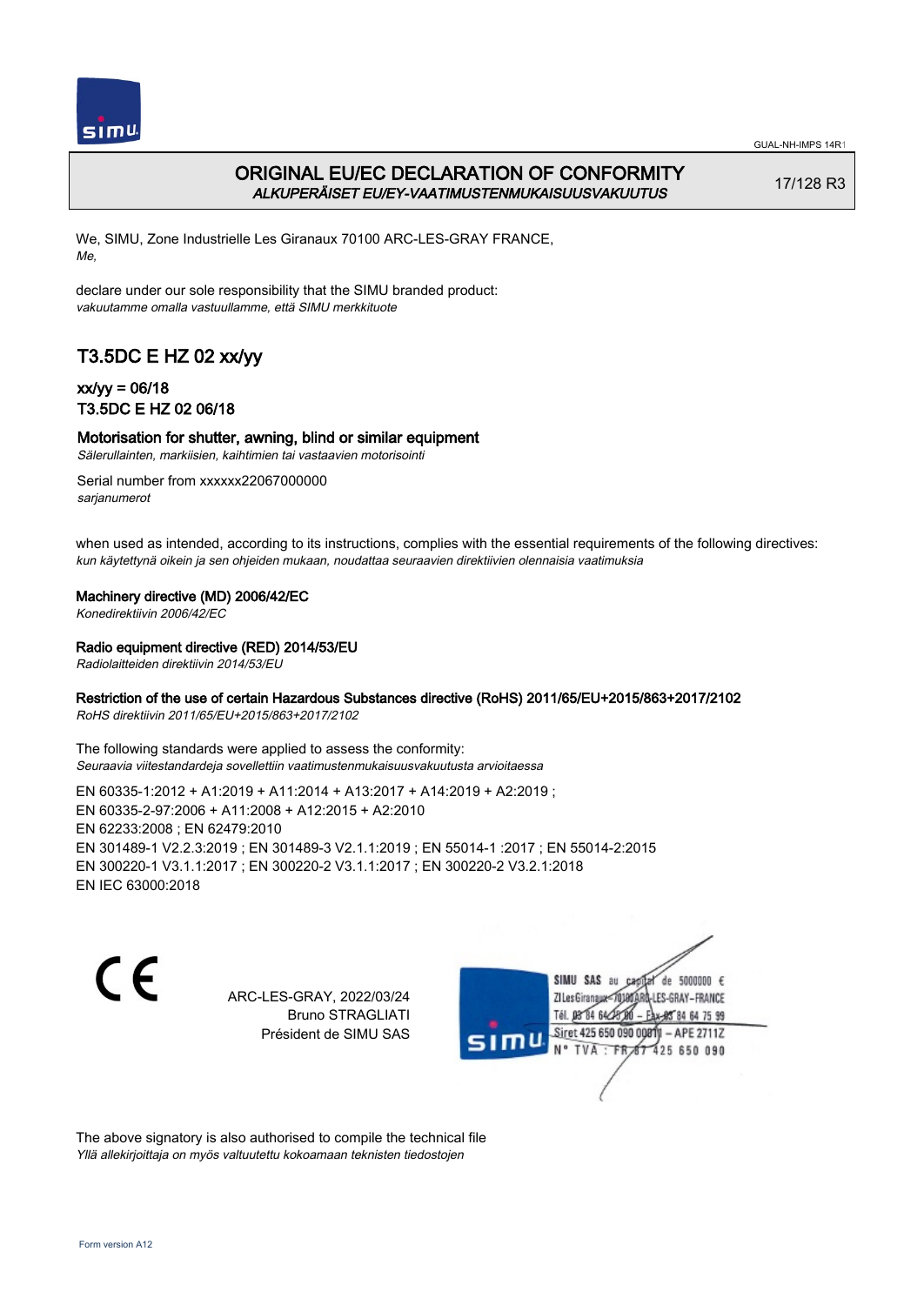

# ORIGINAL EU/EC DECLARATION OF CONFORMITY ALKUPERÄISET EU/EY-VAATIMUSTENMUKAISUUSVAKUUTUS

17/128 R3

We, SIMU, Zone Industrielle Les Giranaux 70100 ARC-LES-GRAY FRANCE, Me,

declare under our sole responsibility that the SIMU branded product: vakuutamme omalla vastuullamme, että SIMU merkkituote

# T3.5DC E HZ 02 xx/yy

## xx/yy = 06/18 T3.5DC E HZ 02 06/18

## Motorisation for shutter, awning, blind or similar equipment

Sälerullainten, markiisien, kaihtimien tai vastaavien motorisointi

Serial number from xxxxxx22067000000 sarianumerot

when used as intended, according to its instructions, complies with the essential requirements of the following directives: kun käytettynä oikein ja sen ohjeiden mukaan, noudattaa seuraavien direktiivien olennaisia vaatimuksia

### Machinery directive (MD) 2006/42/EC

Konedirektiivin 2006/42/EC

### Radio equipment directive (RED) 2014/53/EU

Radiolaitteiden direktiivin 2014/53/EU

### Restriction of the use of certain Hazardous Substances directive (RoHS) 2011/65/EU+2015/863+2017/2102

RoHS direktiivin 2011/65/EU+2015/863+2017/2102

The following standards were applied to assess the conformity: Seuraavia viitestandardeja sovellettiin vaatimustenmukaisuusvakuutusta arvioitaessa

EN 60335‑1:2012 + A1:2019 + A11:2014 + A13:2017 + A14:2019 + A2:2019 ; EN 60335‑2‑97:2006 + A11:2008 + A12:2015 + A2:2010 EN 62233:2008 ; EN 62479:2010 EN 301489‑1 V2.2.3:2019 ; EN 301489‑3 V2.1.1:2019 ; EN 55014‑1 :2017 ; EN 55014‑2:2015 EN 300220‑1 V3.1.1:2017 ; EN 300220‑2 V3.1.1:2017 ; EN 300220‑2 V3.2.1:2018 EN IEC 63000:2018

 $\epsilon$ 

ARC-LES-GRAY, 2022/03/24 Bruno STRAGLIATI Président de SIMU SAS

SIMU SAS au de 5000000  $\epsilon$ ZI Les Giranaux< LES-GRAY-FRANCE Tél. 08 84 64 2 64 75 99 Siret 425 650 090 00811  $-$  APF 27117 125 650 090

The above signatory is also authorised to compile the technical file Yllä allekirjoittaja on myös valtuutettu kokoamaan teknisten tiedostojen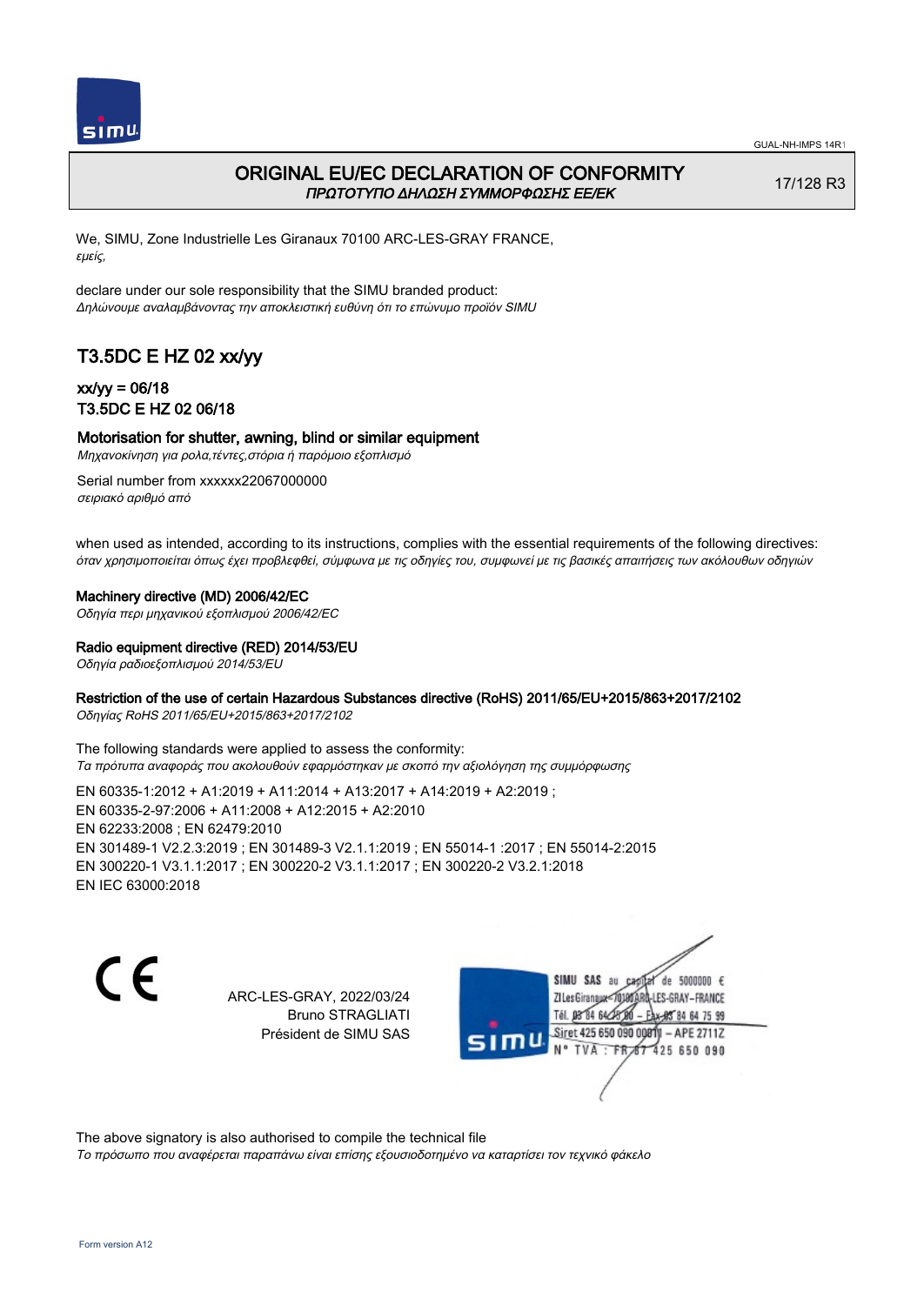

## ORIGINAL EU/EC DECLARATION OF CONFORMITY ΠΡΩΤΟΤΥΠΟ ΔΗΛΩΣΗ ΣΥΜΜΟΡΦΩΣΗΣ ΕΕ/EK

17/128 R3

We, SIMU, Zone Industrielle Les Giranaux 70100 ARC-LES-GRAY FRANCE, εμείς,

declare under our sole responsibility that the SIMU branded product: Δηλώνουμε αναλαμβάνοντας την αποκλειστική ευθύνη ότι το επώνυμο προϊόν SIMU

# T3.5DC E HZ 02 xx/yy

### xx/yy = 06/18 T3.5DC E HZ 02 06/18

### Motorisation for shutter, awning, blind or similar equipment

Μηχανοκίνηση για ρολα,τέντες,στόρια ή παρόμοιο εξοπλισμό

Serial number from xxxxxx22067000000 σειριακό αριθμό από

when used as intended, according to its instructions, complies with the essential requirements of the following directives: όταν χρησιμοποιείται όπως έχει προβλεφθεί, σύμφωνα με τις οδηγίες του, συμφωνεί με τις βασικές απαιτήσεις των ακόλουθων οδηγιών

#### Machinery directive (MD) 2006/42/EC

Οδηγία περι μηχανικού εξοπλισμού 2006/42/EC

Radio equipment directive (RED) 2014/53/EU

Οδηγία ραδιοεξοπλισμού 2014/53/EU

### Restriction of the use of certain Hazardous Substances directive (RoHS) 2011/65/EU+2015/863+2017/2102

Οδηγίας RoHS 2011/65/EU+2015/863+2017/2102

The following standards were applied to assess the conformity: Τα πρότυπα αναφοράς που ακολουθούν εφαρμόστηκαν με σκοπό την αξιολόγηση της συμμόρφωσης

EN 60335‑1:2012 + A1:2019 + A11:2014 + A13:2017 + A14:2019 + A2:2019 ; EN 60335‑2‑97:2006 + A11:2008 + A12:2015 + A2:2010 EN 62233:2008 ; EN 62479:2010 EN 301489‑1 V2.2.3:2019 ; EN 301489‑3 V2.1.1:2019 ; EN 55014‑1 :2017 ; EN 55014‑2:2015 EN 300220‑1 V3.1.1:2017 ; EN 300220‑2 V3.1.1:2017 ; EN 300220‑2 V3.2.1:2018 EN IEC 63000:2018

C F

ARC-LES-GRAY, 2022/03/24 Bruno STRAGLIATI Président de SIMU SAS

de 5000000  $\epsilon$ SIMU SAS au ZI Les Giranaux-70180 LES-GRAY-FRANCE Tél. 08 84 64 28 2 64 75 99 Siret 425 650 090 00811  $-$  APE 2711Z 125 650 090

The above signatory is also authorised to compile the technical file

Το πρόσωπο που αναφέρεται παραπάνω είναι επίσης εξουσιοδοτημένο να καταρτίσει τον τεχνικό φάκελο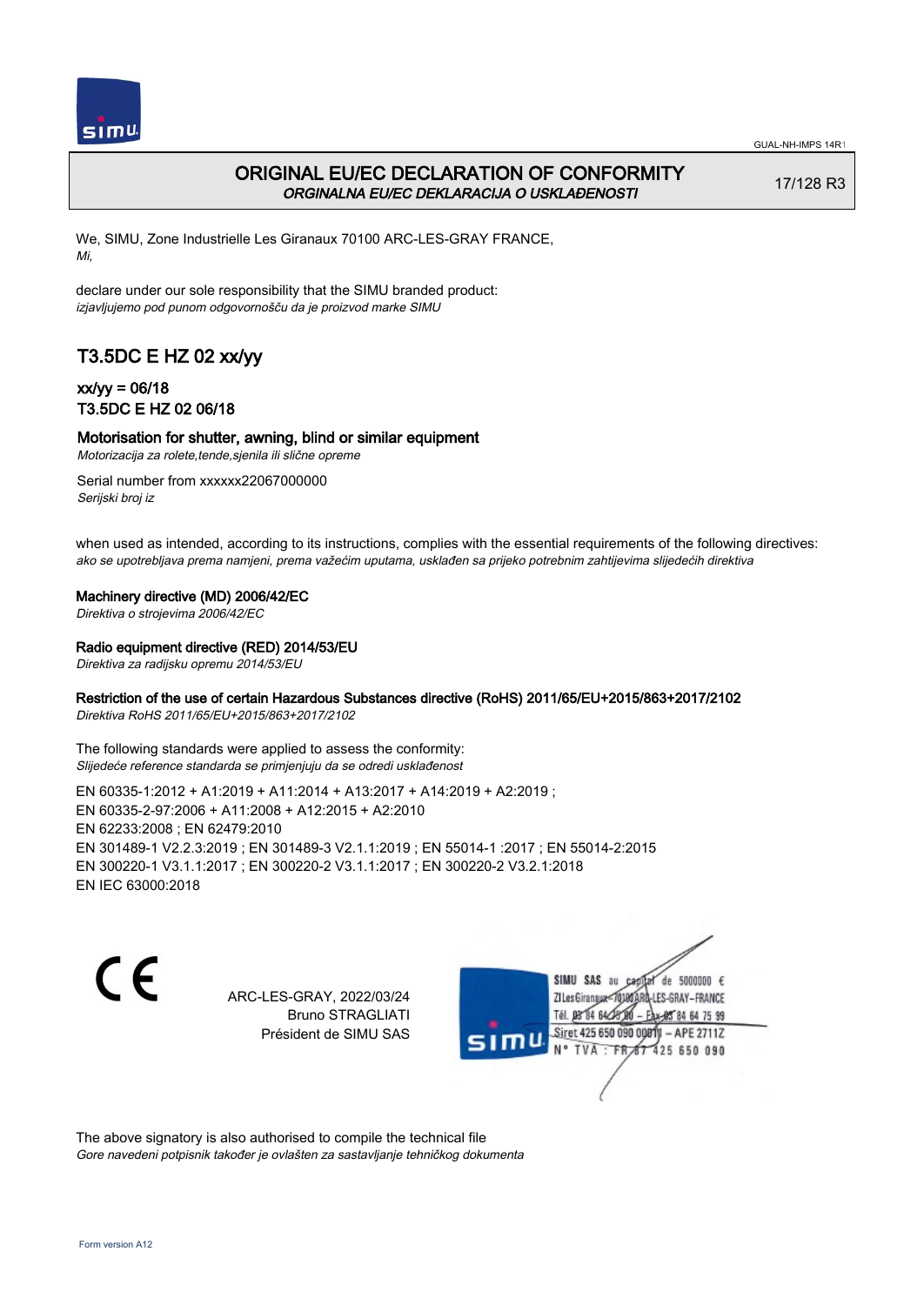

# ORIGINAL EU/EC DECLARATION OF CONFORMITY ORGINALNA EU/EC DEKLARACIJA O USKLAĐENOSTI

17/128 R3

We, SIMU, Zone Industrielle Les Giranaux 70100 ARC-LES-GRAY FRANCE, Mi,

declare under our sole responsibility that the SIMU branded product: izjavljujemo pod punom odgovornošču da je proizvod marke SIMU

# T3.5DC E HZ 02 xx/yy

## xx/yy = 06/18 T3.5DC E HZ 02 06/18

### Motorisation for shutter, awning, blind or similar equipment

Motorizacija za rolete,tende,sjenila ili slične opreme

Serial number from xxxxxx22067000000 Serijski broj iz

when used as intended, according to its instructions, complies with the essential requirements of the following directives: ako se upotrebljava prema namjeni, prema važećim uputama, usklađen sa prijeko potrebnim zahtijevima slijedećih direktiva

Machinery directive (MD) 2006/42/EC

Direktiva o strojevima 2006/42/EC

Radio equipment directive (RED) 2014/53/EU

Direktiva za radijsku opremu 2014/53/EU

### Restriction of the use of certain Hazardous Substances directive (RoHS) 2011/65/EU+2015/863+2017/2102

Direktiva RoHS 2011/65/EU+2015/863+2017/2102

The following standards were applied to assess the conformity: Slijedeće reference standarda se primjenjuju da se odredi usklađenost

EN 60335‑1:2012 + A1:2019 + A11:2014 + A13:2017 + A14:2019 + A2:2019 ; EN 60335‑2‑97:2006 + A11:2008 + A12:2015 + A2:2010 EN 62233:2008 ; EN 62479:2010 EN 301489‑1 V2.2.3:2019 ; EN 301489‑3 V2.1.1:2019 ; EN 55014‑1 :2017 ; EN 55014‑2:2015 EN 300220‑1 V3.1.1:2017 ; EN 300220‑2 V3.1.1:2017 ; EN 300220‑2 V3.2.1:2018 EN IEC 63000:2018

C F

ARC-LES-GRAY, 2022/03/24 Bruno STRAGLIATI Président de SIMU SAS

de 5000000  $\epsilon$ SIMU SAS au ZI Les Giranaux</D LES-GRAY-FRANCE Tél. 08 R4 64 2 64 75 99 Siret 425 650 090 0081  $-$  APF 27117 125 650 090

The above signatory is also authorised to compile the technical file Gore navedeni potpisnik također je ovlašten za sastavljanje tehničkog dokumenta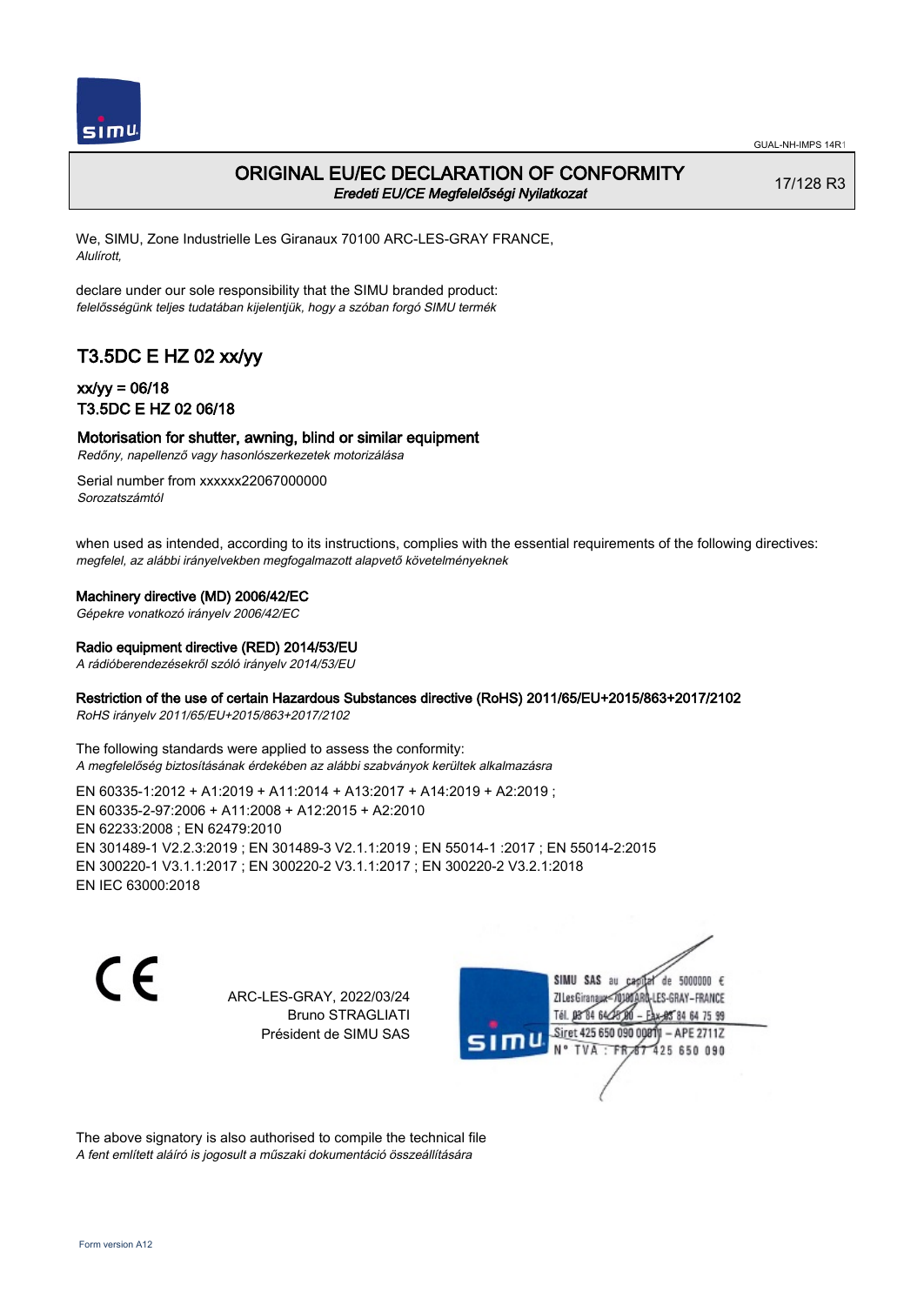

### ORIGINAL EU/EC DECLARATION OF CONFORMITY Eredeti EU/CE Megfelelőségi Nyilatkozat

17/128 R3

We, SIMU, Zone Industrielle Les Giranaux 70100 ARC-LES-GRAY FRANCE, Alulírott,

declare under our sole responsibility that the SIMU branded product: felelősségünk teljes tudatában kijelentjük, hogy a szóban forgó SIMU termék

# T3.5DC E HZ 02 xx/yy

## xx/yy = 06/18 T3.5DC E HZ 02 06/18

# Motorisation for shutter, awning, blind or similar equipment

Redőny, napellenző vagy hasonlószerkezetek motorizálása

Serial number from xxxxxx22067000000 Sorozatszámtól

when used as intended, according to its instructions, complies with the essential requirements of the following directives: megfelel, az alábbi irányelvekben megfogalmazott alapvető követelményeknek

#### Machinery directive (MD) 2006/42/EC

Gépekre vonatkozó irányelv 2006/42/EC

#### Radio equipment directive (RED) 2014/53/EU

A rádióberendezésekről szóló irányelv 2014/53/EU

### Restriction of the use of certain Hazardous Substances directive (RoHS) 2011/65/EU+2015/863+2017/2102

RoHS irányelv 2011/65/EU+2015/863+2017/2102

The following standards were applied to assess the conformity: A megfelelőség biztosításának érdekében az alábbi szabványok kerültek alkalmazásra

EN 60335‑1:2012 + A1:2019 + A11:2014 + A13:2017 + A14:2019 + A2:2019 ; EN 60335‑2‑97:2006 + A11:2008 + A12:2015 + A2:2010 EN 62233:2008 ; EN 62479:2010 EN 301489‑1 V2.2.3:2019 ; EN 301489‑3 V2.1.1:2019 ; EN 55014‑1 :2017 ; EN 55014‑2:2015 EN 300220‑1 V3.1.1:2017 ; EN 300220‑2 V3.1.1:2017 ; EN 300220‑2 V3.2.1:2018 EN IEC 63000:2018

C F

ARC-LES-GRAY, 2022/03/24 Bruno STRAGLIATI Président de SIMU SAS

de 5000000  $\epsilon$ SIMU SAS au ZI Les Giranaux<7 LES-GRAY-FRANCE Tél. 08 R4 64 2 64 75 99 Siret 425 650 090 00811  $-$  APF 27117 125 650 090

The above signatory is also authorised to compile the technical file A fent említett aláíró is jogosult a műszaki dokumentáció összeállítására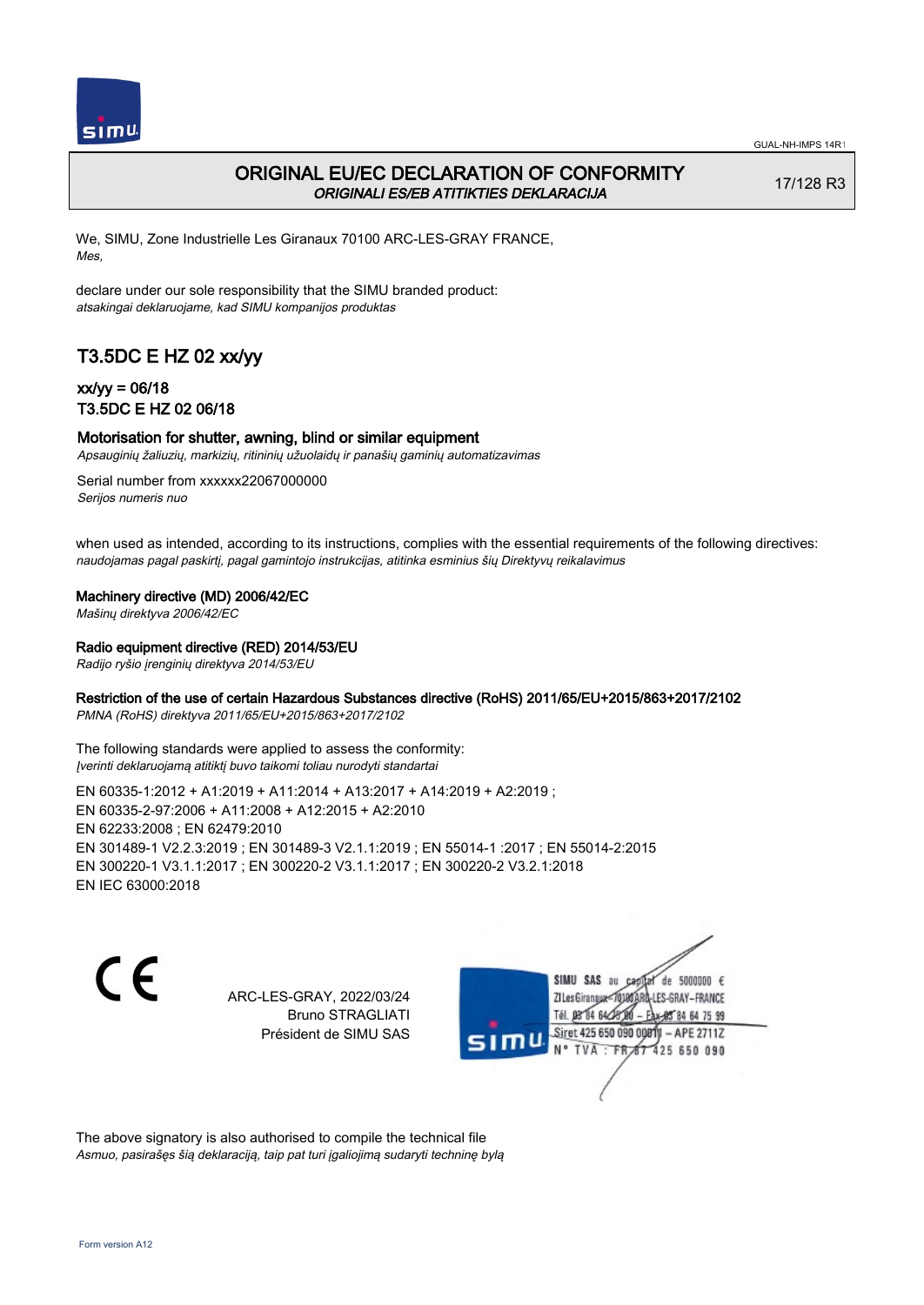

# ORIGINAL EU/EC DECLARATION OF CONFORMITY ORIGINALI ES/EB ATITIKTIES DEKLARACIJA

17/128 R3

We, SIMU, Zone Industrielle Les Giranaux 70100 ARC-LES-GRAY FRANCE, Mes,

declare under our sole responsibility that the SIMU branded product: atsakingai deklaruojame, kad SIMU kompanijos produktas

# T3.5DC E HZ 02 xx/yy

## xx/yy = 06/18 T3.5DC E HZ 02 06/18

### Motorisation for shutter, awning, blind or similar equipment

Apsauginių žaliuzių, markizių, ritininių užuolaidų ir panašių gaminių automatizavimas

Serial number from xxxxxx22067000000 Serijos numeris nuo

when used as intended, according to its instructions, complies with the essential requirements of the following directives: naudojamas pagal paskirtį, pagal gamintojo instrukcijas, atitinka esminius šių Direktyvų reikalavimus

Machinery directive (MD) 2006/42/EC

Mašinų direktyva 2006/42/EC

### Radio equipment directive (RED) 2014/53/EU

Radijo ryšio įrenginių direktyva 2014/53/EU

### Restriction of the use of certain Hazardous Substances directive (RoHS) 2011/65/EU+2015/863+2017/2102

PMNA (RoHS) direktyva 2011/65/EU+2015/863+2017/2102

The following standards were applied to assess the conformity: Įverinti deklaruojamą atitiktį buvo taikomi toliau nurodyti standartai

EN 60335‑1:2012 + A1:2019 + A11:2014 + A13:2017 + A14:2019 + A2:2019 ; EN 60335‑2‑97:2006 + A11:2008 + A12:2015 + A2:2010 EN 62233:2008 ; EN 62479:2010 EN 301489‑1 V2.2.3:2019 ; EN 301489‑3 V2.1.1:2019 ; EN 55014‑1 :2017 ; EN 55014‑2:2015 EN 300220‑1 V3.1.1:2017 ; EN 300220‑2 V3.1.1:2017 ; EN 300220‑2 V3.2.1:2018 EN IEC 63000:2018

C F

ARC-LES-GRAY, 2022/03/24 Bruno STRAGLIATI Président de SIMU SAS

SIMU SAS au de 5000000  $\epsilon$ ZI Les Giranaux-70180 LES-GRAY-FRANCE Tél. 08 R4 64 24 64 75 99 Siret 425 650 090 0081  $-$  APF 27117 **TVA FR** 125 650 090

The above signatory is also authorised to compile the technical file Asmuo, pasirašęs šią deklaraciją, taip pat turi įgaliojimą sudaryti techninę bylą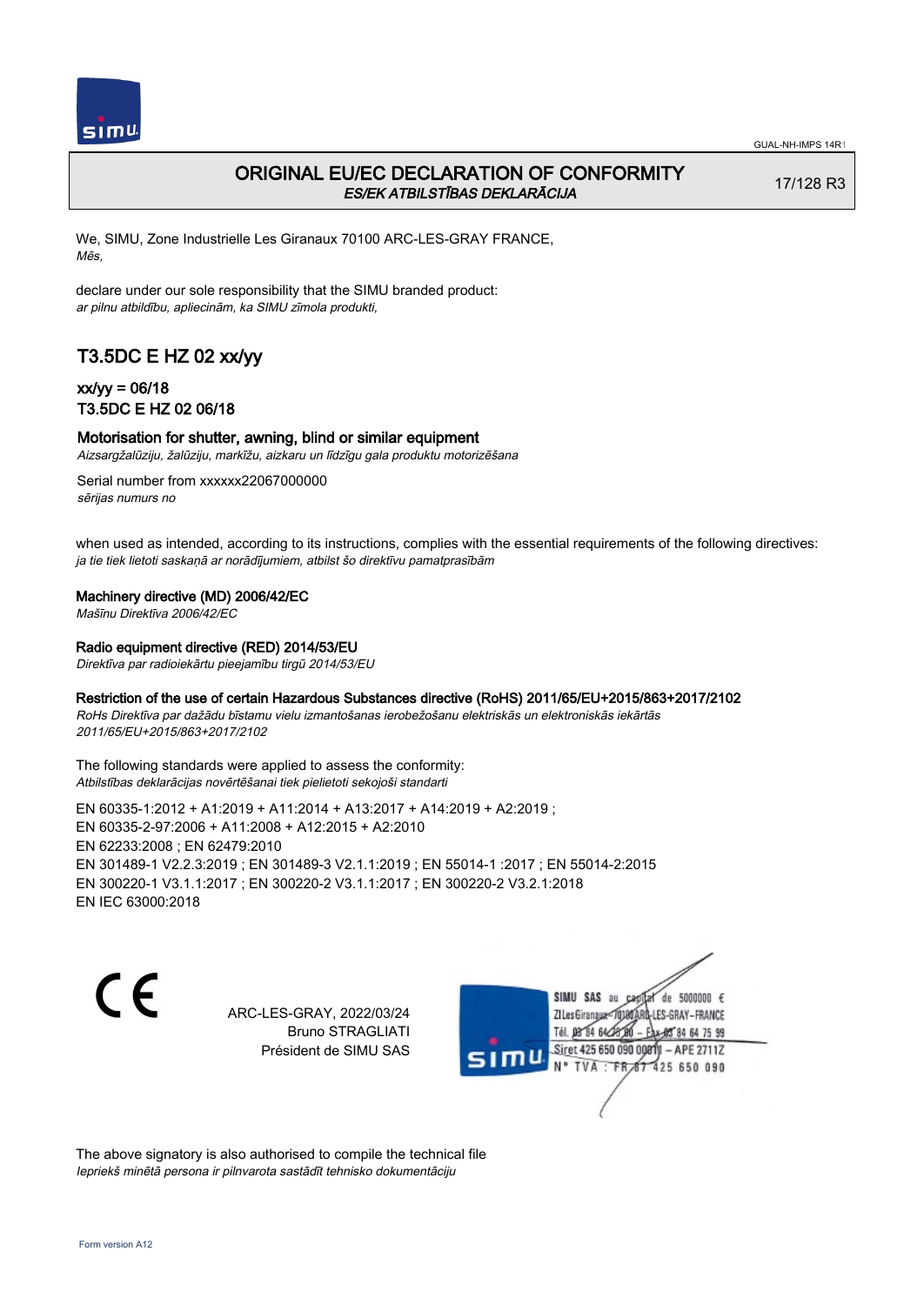

# ORIGINAL EU/EC DECLARATION OF CONFORMITY ES/EK ATBILSTĪBAS DEKLARĀCIJA

17/128 R3

We, SIMU, Zone Industrielle Les Giranaux 70100 ARC-LES-GRAY FRANCE, Mēs,

declare under our sole responsibility that the SIMU branded product: ar pilnu atbildību, apliecinām, ka SIMU zīmola produkti,

# T3.5DC E HZ 02 xx/yy

### xx/yy = 06/18 T3.5DC E HZ 02 06/18

### Motorisation for shutter, awning, blind or similar equipment

Aizsargžalūziju, žalūziju, markīžu, aizkaru un līdzīgu gala produktu motorizēšana

Serial number from xxxxxx22067000000 sērijas numurs no

when used as intended, according to its instructions, complies with the essential requirements of the following directives: ja tie tiek lietoti saskaņā ar norādījumiem, atbilst šo direktīvu pamatprasībām

#### Machinery directive (MD) 2006/42/EC

Mašīnu Direktīva 2006/42/EC

#### Radio equipment directive (RED) 2014/53/EU

Direktīva par radioiekārtu pieejamību tirgū 2014/53/EU

### Restriction of the use of certain Hazardous Substances directive (RoHS) 2011/65/EU+2015/863+2017/2102

RoHs Direktīva par dažādu bīstamu vielu izmantošanas ierobežošanu elektriskās un elektroniskās iekārtās 2011/65/EU+2015/863+2017/2102

The following standards were applied to assess the conformity: Atbilstības deklarācijas novērtēšanai tiek pielietoti sekojoši standarti

EN 60335‑1:2012 + A1:2019 + A11:2014 + A13:2017 + A14:2019 + A2:2019 ; EN 60335‑2‑97:2006 + A11:2008 + A12:2015 + A2:2010 EN 62233:2008 ; EN 62479:2010 EN 301489‑1 V2.2.3:2019 ; EN 301489‑3 V2.1.1:2019 ; EN 55014‑1 :2017 ; EN 55014‑2:2015 EN 300220‑1 V3.1.1:2017 ; EN 300220‑2 V3.1.1:2017 ; EN 300220‑2 V3.2.1:2018 EN IEC 63000:2018

 $\epsilon$ 

ARC-LES-GRAY, 2022/03/24 Bruno STRAGLIATI Président de SIMU SAS



The above signatory is also authorised to compile the technical file Iepriekš minētā persona ir pilnvarota sastādīt tehnisko dokumentāciju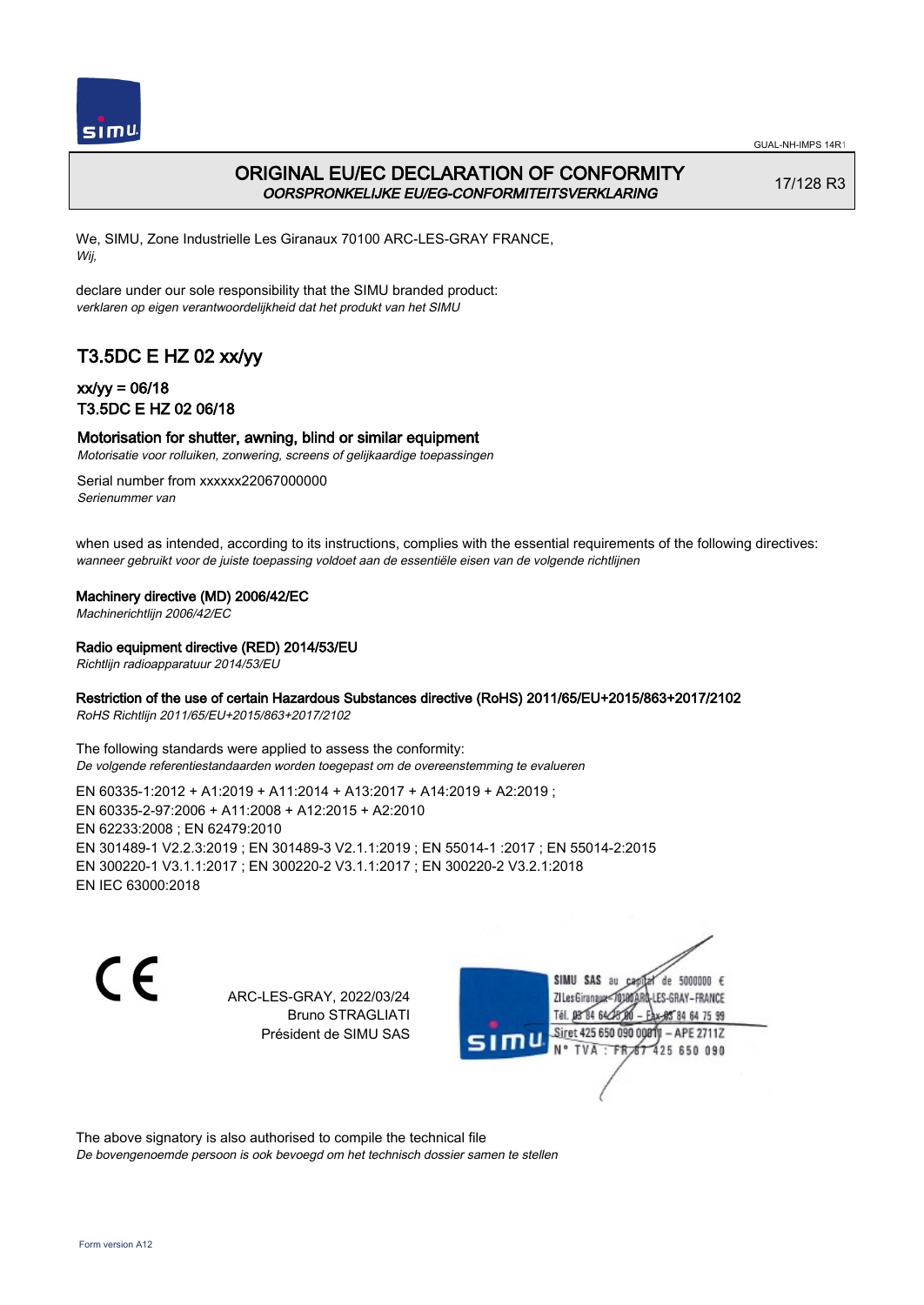

# ORIGINAL EU/EC DECLARATION OF CONFORMITY OORSPRONKELIJKE EU/EG-CONFORMITEITSVERKLARING

17/128 R3

We, SIMU, Zone Industrielle Les Giranaux 70100 ARC-LES-GRAY FRANCE, Wij,

declare under our sole responsibility that the SIMU branded product: verklaren op eigen verantwoordelijkheid dat het produkt van het SIMU

# T3.5DC E HZ 02 xx/yy

## xx/yy = 06/18 T3.5DC E HZ 02 06/18

### Motorisation for shutter, awning, blind or similar equipment

Motorisatie voor rolluiken, zonwering, screens of gelijkaardige toepassingen

Serial number from xxxxxx22067000000 Serienummer van

when used as intended, according to its instructions, complies with the essential requirements of the following directives: wanneer gebruikt voor de juiste toepassing voldoet aan de essentiële eisen van de volgende richtlijnen

Machinery directive (MD) 2006/42/EC

Machinerichtlijn 2006/42/EC

Radio equipment directive (RED) 2014/53/EU

Richtlijn radioapparatuur 2014/53/EU

### Restriction of the use of certain Hazardous Substances directive (RoHS) 2011/65/EU+2015/863+2017/2102

RoHS Richtlijn 2011/65/EU+2015/863+2017/2102

The following standards were applied to assess the conformity: De volgende referentiestandaarden worden toegepast om de overeenstemming te evalueren

EN 60335‑1:2012 + A1:2019 + A11:2014 + A13:2017 + A14:2019 + A2:2019 ; EN 60335‑2‑97:2006 + A11:2008 + A12:2015 + A2:2010 EN 62233:2008 ; EN 62479:2010 EN 301489‑1 V2.2.3:2019 ; EN 301489‑3 V2.1.1:2019 ; EN 55014‑1 :2017 ; EN 55014‑2:2015 EN 300220‑1 V3.1.1:2017 ; EN 300220‑2 V3.1.1:2017 ; EN 300220‑2 V3.2.1:2018 EN IEC 63000:2018

C F

ARC-LES-GRAY, 2022/03/24 Bruno STRAGLIATI Président de SIMU SAS

de 5000000  $\epsilon$ SIMU SAS au ZI Les Giranaux< LES-GRAY-FRANCE Tél. 08 R4 64 2 64 75 99 Siret 425 650 090 00811  $-$  APF 27117 125 650 090

The above signatory is also authorised to compile the technical file De bovengenoemde persoon is ook bevoegd om het technisch dossier samen te stellen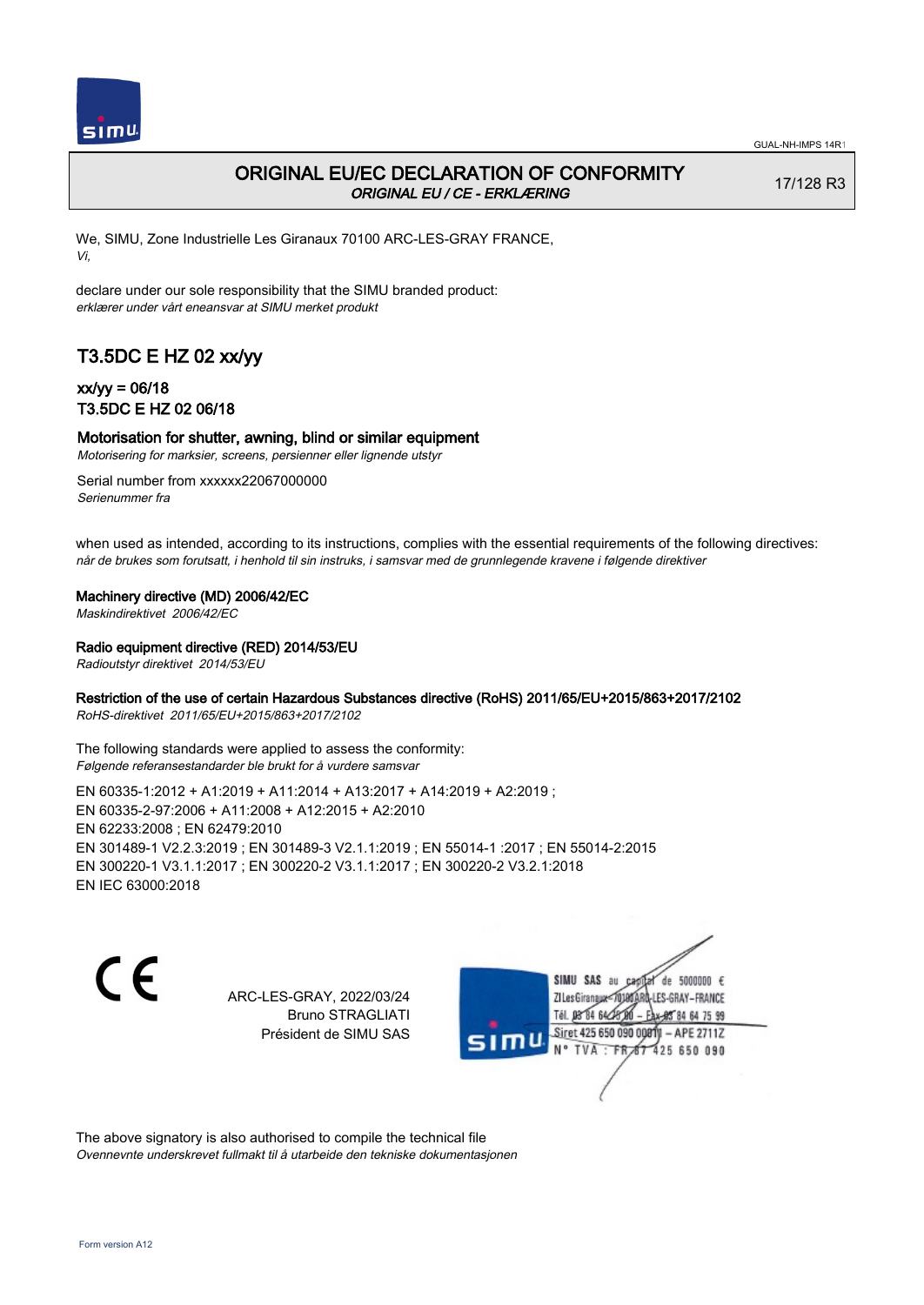

## ORIGINAL EU/EC DECLARATION OF CONFORMITY ORIGINAL EU / CE - ERKLÆRING

17/128 R3

We, SIMU, Zone Industrielle Les Giranaux 70100 ARC-LES-GRAY FRANCE, Vi,

declare under our sole responsibility that the SIMU branded product: erklærer under vårt eneansvar at SIMU merket produkt

# T3.5DC E HZ 02 xx/yy

## xx/yy = 06/18 T3.5DC E HZ 02 06/18

### Motorisation for shutter, awning, blind or similar equipment

Motorisering for marksier, screens, persienner eller lignende utstyr

Serial number from xxxxxx22067000000 Serienummer fra

when used as intended, according to its instructions, complies with the essential requirements of the following directives: når de brukes som forutsatt, i henhold til sin instruks, i samsvar med de grunnlegende kravene i følgende direktiver

Machinery directive (MD) 2006/42/EC

Maskindirektivet 2006/42/EC

Radio equipment directive (RED) 2014/53/EU

Radioutstyr direktivet 2014/53/EU

### Restriction of the use of certain Hazardous Substances directive (RoHS) 2011/65/EU+2015/863+2017/2102

RoHS-direktivet 2011/65/EU+2015/863+2017/2102

The following standards were applied to assess the conformity: Følgende referansestandarder ble brukt for å vurdere samsvar

EN 60335‑1:2012 + A1:2019 + A11:2014 + A13:2017 + A14:2019 + A2:2019 ; EN 60335‑2‑97:2006 + A11:2008 + A12:2015 + A2:2010 EN 62233:2008 ; EN 62479:2010 EN 301489‑1 V2.2.3:2019 ; EN 301489‑3 V2.1.1:2019 ; EN 55014‑1 :2017 ; EN 55014‑2:2015 EN 300220‑1 V3.1.1:2017 ; EN 300220‑2 V3.1.1:2017 ; EN 300220‑2 V3.2.1:2018 EN IEC 63000:2018

CE

ARC-LES-GRAY, 2022/03/24 Bruno STRAGLIATI Président de SIMU SAS

de 5000000  $\epsilon$ SIMU SAS au ZI Les Giranaux< LES-GRAY-FRANCE Tél. 08 84 64 2 64 75 99 Siret 425 650 090 0081  $-$  APF 27117 125 650 090

The above signatory is also authorised to compile the technical file Ovennevnte underskrevet fullmakt til å utarbeide den tekniske dokumentasjonen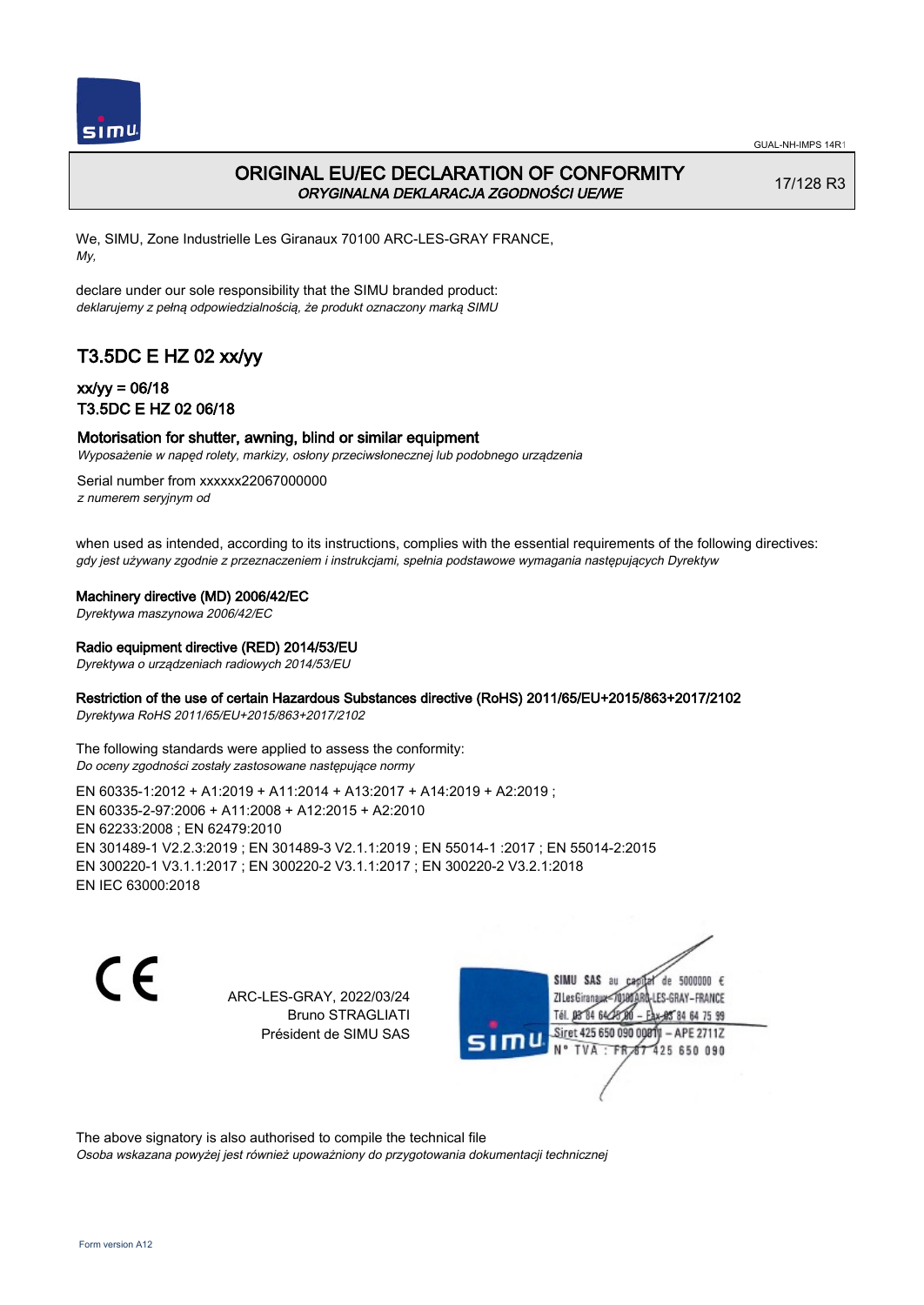

## ORIGINAL EU/EC DECLARATION OF CONFORMITY ORYGINALNA DEKLARACJA ZGODNOŚCI UE/WE

17/128 R3

We, SIMU, Zone Industrielle Les Giranaux 70100 ARC-LES-GRAY FRANCE, My,

declare under our sole responsibility that the SIMU branded product: deklarujemy z pełną odpowiedzialnością, że produkt oznaczony marką SIMU

# T3.5DC E HZ 02 xx/yy

### xx/yy = 06/18 T3.5DC E HZ 02 06/18

#### Motorisation for shutter, awning, blind or similar equipment

Wyposażenie w napęd rolety, markizy, osłony przeciwsłonecznej lub podobnego urządzenia

Serial number from xxxxxx22067000000 z numerem seryjnym od

when used as intended, according to its instructions, complies with the essential requirements of the following directives: gdy jest używany zgodnie z przeznaczeniem i instrukcjami, spełnia podstawowe wymagania następujących Dyrektyw

Machinery directive (MD) 2006/42/EC

Dyrektywa maszynowa 2006/42/EC

#### Radio equipment directive (RED) 2014/53/EU

Dyrektywa o urządzeniach radiowych 2014/53/EU

### Restriction of the use of certain Hazardous Substances directive (RoHS) 2011/65/EU+2015/863+2017/2102

Dyrektywa RoHS 2011/65/EU+2015/863+2017/2102

The following standards were applied to assess the conformity: Do oceny zgodności zostały zastosowane następujące normy

EN 60335‑1:2012 + A1:2019 + A11:2014 + A13:2017 + A14:2019 + A2:2019 ; EN 60335‑2‑97:2006 + A11:2008 + A12:2015 + A2:2010 EN 62233:2008 ; EN 62479:2010 EN 301489‑1 V2.2.3:2019 ; EN 301489‑3 V2.1.1:2019 ; EN 55014‑1 :2017 ; EN 55014‑2:2015 EN 300220‑1 V3.1.1:2017 ; EN 300220‑2 V3.1.1:2017 ; EN 300220‑2 V3.2.1:2018 EN IEC 63000:2018

C F

ARC-LES-GRAY, 2022/03/24 Bruno STRAGLIATI Président de SIMU SAS

de 5000000  $\epsilon$ SIMU SAS au ZI Les Giranaux-70180 LES-GRAY-FRANCE Tél. 08 R4 64 2 64 75 99 Siret 425 650 090 00811  $-$  APF 27117 125 650 090

The above signatory is also authorised to compile the technical file Osoba wskazana powyżej jest również upoważniony do przygotowania dokumentacji technicznej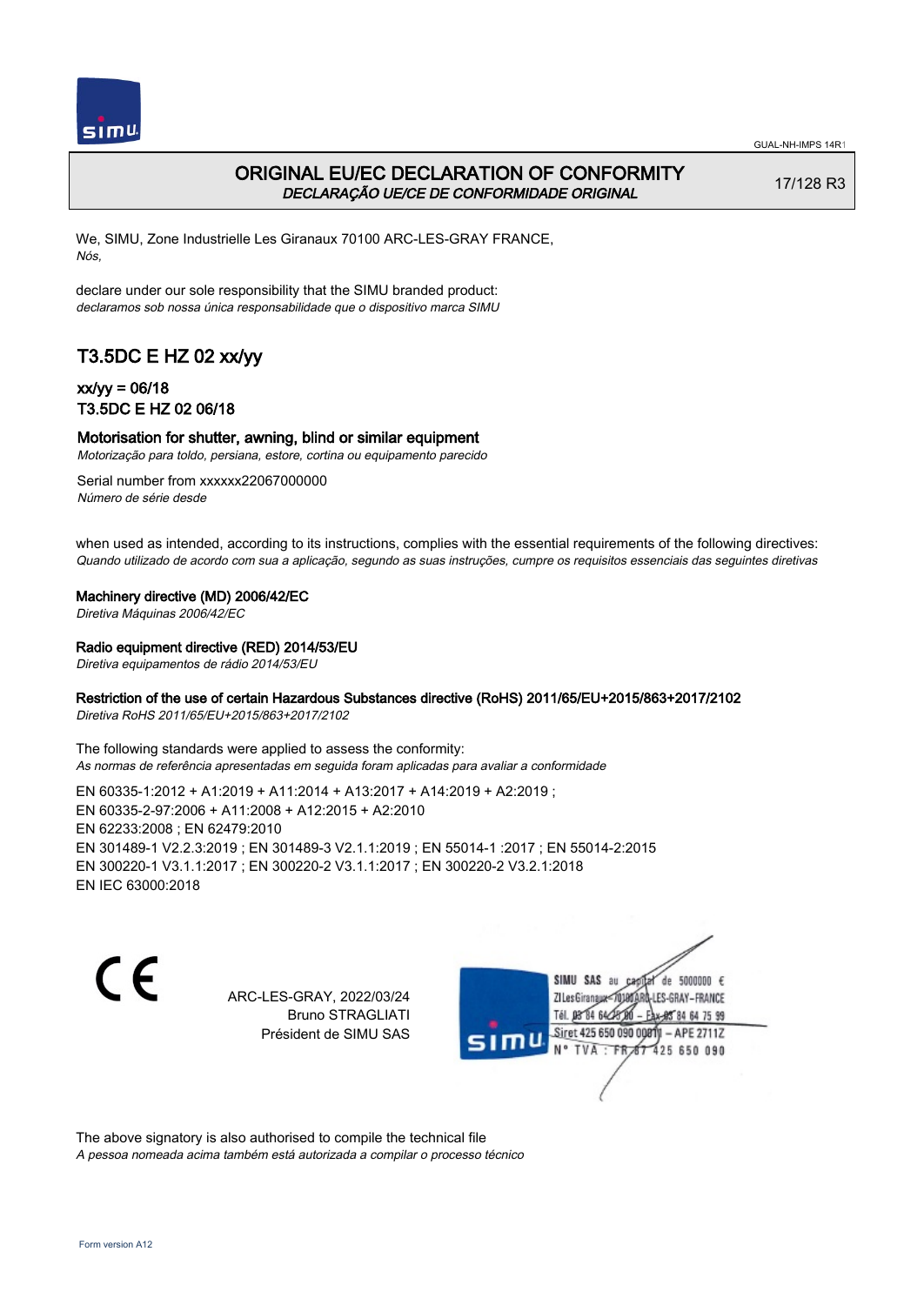

## ORIGINAL EU/EC DECLARATION OF CONFORMITY DECLARAÇÃO UE/CE DE CONFORMIDADE ORIGINAL

17/128 R3

We, SIMU, Zone Industrielle Les Giranaux 70100 ARC-LES-GRAY FRANCE, Nós,

declare under our sole responsibility that the SIMU branded product: declaramos sob nossa única responsabilidade que o dispositivo marca SIMU

# T3.5DC E HZ 02 xx/yy

### xx/yy = 06/18 T3.5DC E HZ 02 06/18

#### Motorisation for shutter, awning, blind or similar equipment

Motorização para toldo, persiana, estore, cortina ou equipamento parecido

Serial number from xxxxxx22067000000 Número de série desde

when used as intended, according to its instructions, complies with the essential requirements of the following directives: Quando utilizado de acordo com sua a aplicação, segundo as suas instruções, cumpre os requisitos essenciais das seguintes diretivas

Machinery directive (MD) 2006/42/EC

Diretiva Máquinas 2006/42/EC

### Radio equipment directive (RED) 2014/53/EU

Diretiva equipamentos de rádio 2014/53/EU

### Restriction of the use of certain Hazardous Substances directive (RoHS) 2011/65/EU+2015/863+2017/2102

Diretiva RoHS 2011/65/EU+2015/863+2017/2102

The following standards were applied to assess the conformity: As normas de referência apresentadas em seguida foram aplicadas para avaliar a conformidade

EN 60335‑1:2012 + A1:2019 + A11:2014 + A13:2017 + A14:2019 + A2:2019 ; EN 60335‑2‑97:2006 + A11:2008 + A12:2015 + A2:2010 EN 62233:2008 ; EN 62479:2010 EN 301489‑1 V2.2.3:2019 ; EN 301489‑3 V2.1.1:2019 ; EN 55014‑1 :2017 ; EN 55014‑2:2015 EN 300220‑1 V3.1.1:2017 ; EN 300220‑2 V3.1.1:2017 ; EN 300220‑2 V3.2.1:2018 EN IEC 63000:2018

C F

ARC-LES-GRAY, 2022/03/24 Bruno STRAGLIATI Président de SIMU SAS

de 5000000  $\epsilon$ SIMU SAS au ZI Les Giranaux< ES-GRAY-FRANCE Tél. 08 84 64 2 64 75 99 Siret 425 650 090 00811  $-$  APF 27117 125 650 090

The above signatory is also authorised to compile the technical file A pessoa nomeada acima também está autorizada a compilar o processo técnico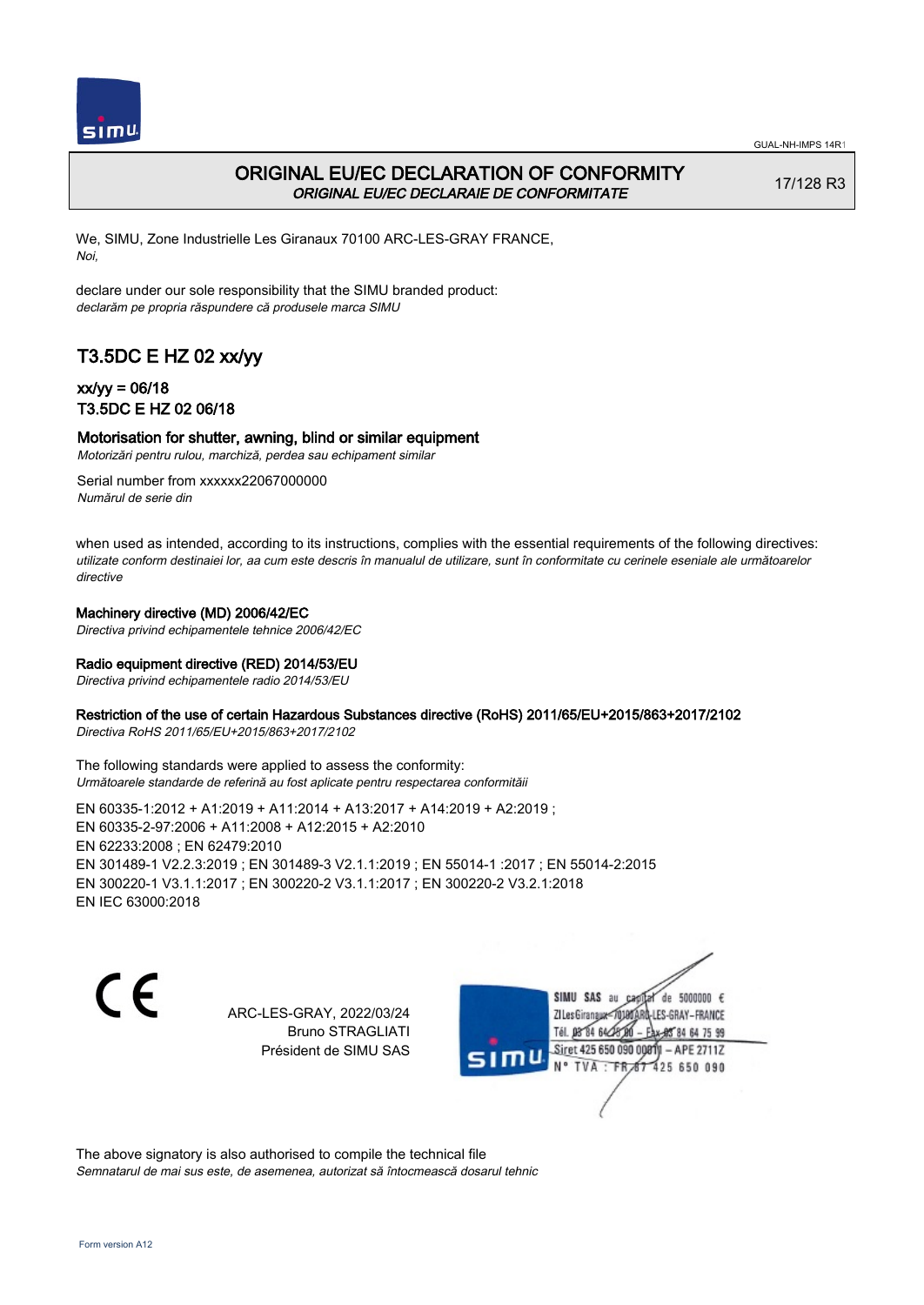

# ORIGINAL EU/EC DECLARATION OF CONFORMITY ORIGINAL EU/EC DECLARAIE DE CONFORMITATE

17/128 R3

We, SIMU, Zone Industrielle Les Giranaux 70100 ARC-LES-GRAY FRANCE, Noi,

declare under our sole responsibility that the SIMU branded product: declarăm pe propria răspundere că produsele marca SIMU

# T3.5DC E HZ 02 xx/yy

## xx/yy = 06/18 T3.5DC E HZ 02 06/18

### Motorisation for shutter, awning, blind or similar equipment

Motorizări pentru rulou, marchiză, perdea sau echipament similar

Serial number from xxxxxx22067000000 Numărul de serie din

when used as intended, according to its instructions, complies with the essential requirements of the following directives: utilizate conform destinaiei lor, aa cum este descris în manualul de utilizare, sunt în conformitate cu cerinele eseniale ale următoarelor directive

### Machinery directive (MD) 2006/42/EC

Directiva privind echipamentele tehnice 2006/42/EC

### Radio equipment directive (RED) 2014/53/EU

Directiva privind echipamentele radio 2014/53/EU

### Restriction of the use of certain Hazardous Substances directive (RoHS) 2011/65/EU+2015/863+2017/2102

Directiva RoHS 2011/65/EU+2015/863+2017/2102

The following standards were applied to assess the conformity: Următoarele standarde de referină au fost aplicate pentru respectarea conformităii

EN 60335‑1:2012 + A1:2019 + A11:2014 + A13:2017 + A14:2019 + A2:2019 ; EN 60335‑2‑97:2006 + A11:2008 + A12:2015 + A2:2010 EN 62233:2008 ; EN 62479:2010 EN 301489‑1 V2.2.3:2019 ; EN 301489‑3 V2.1.1:2019 ; EN 55014‑1 :2017 ; EN 55014‑2:2015 EN 300220‑1 V3.1.1:2017 ; EN 300220‑2 V3.1.1:2017 ; EN 300220‑2 V3.2.1:2018 EN IEC 63000:2018

 $\epsilon$ 

ARC-LES-GRAY, 2022/03/24 Bruno STRAGLIATI Président de SIMU SAS

de 5000000  $\epsilon$ SIMU SAS au ZI Les Giranauxe LES-GRAY-FRANCE Tél. 08 84 64 24 95 84 64 75 99 Siret 425 650 090 00811 - APE 2711Z TVA: FR 87 425 650 090

The above signatory is also authorised to compile the technical file Semnatarul de mai sus este, de asemenea, autorizat să întocmească dosarul tehnic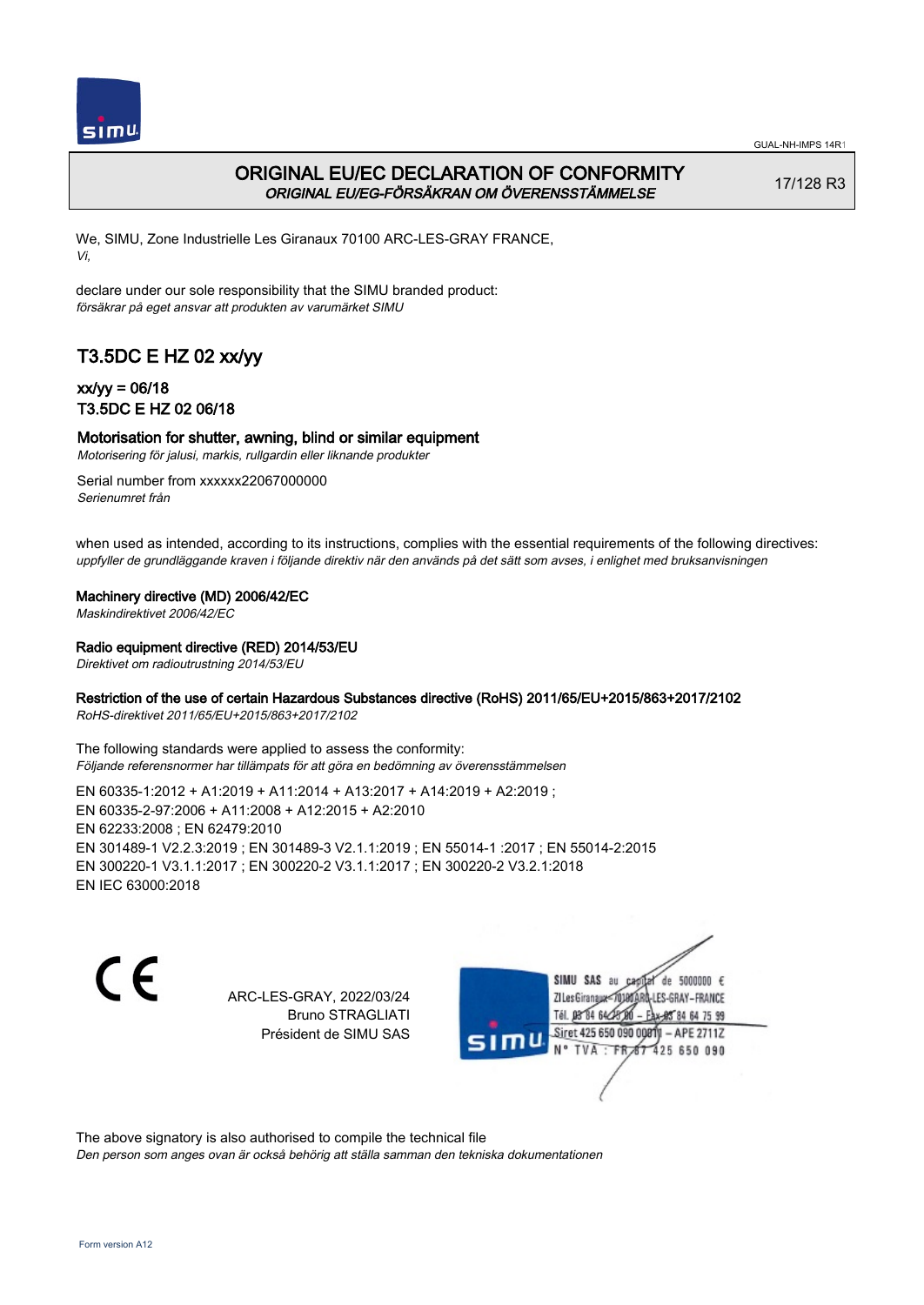

# ORIGINAL EU/EC DECLARATION OF CONFORMITY ORIGINAL EU/EG-FÖRSÄKRAN OM ÖVERENSSTÄMMELSE

17/128 R3

We, SIMU, Zone Industrielle Les Giranaux 70100 ARC-LES-GRAY FRANCE, Vi,

declare under our sole responsibility that the SIMU branded product: försäkrar på eget ansvar att produkten av varumärket SIMU

# T3.5DC E HZ 02 xx/yy

## xx/yy = 06/18 T3.5DC E HZ 02 06/18

### Motorisation for shutter, awning, blind or similar equipment

Motorisering för jalusi, markis, rullgardin eller liknande produkter

Serial number from xxxxxx22067000000 Serienumret från

when used as intended, according to its instructions, complies with the essential requirements of the following directives: uppfyller de grundläggande kraven i följande direktiv när den används på det sätt som avses, i enlighet med bruksanvisningen

### Machinery directive (MD) 2006/42/EC

Maskindirektivet 2006/42/EC

### Radio equipment directive (RED) 2014/53/EU

Direktivet om radioutrustning 2014/53/EU

### Restriction of the use of certain Hazardous Substances directive (RoHS) 2011/65/EU+2015/863+2017/2102

RoHS-direktivet 2011/65/EU+2015/863+2017/2102

The following standards were applied to assess the conformity: Följande referensnormer har tillämpats för att göra en bedömning av överensstämmelsen

EN 60335‑1:2012 + A1:2019 + A11:2014 + A13:2017 + A14:2019 + A2:2019 ; EN 60335‑2‑97:2006 + A11:2008 + A12:2015 + A2:2010 EN 62233:2008 ; EN 62479:2010 EN 301489‑1 V2.2.3:2019 ; EN 301489‑3 V2.1.1:2019 ; EN 55014‑1 :2017 ; EN 55014‑2:2015 EN 300220‑1 V3.1.1:2017 ; EN 300220‑2 V3.1.1:2017 ; EN 300220‑2 V3.2.1:2018 EN IEC 63000:2018

 $\epsilon$ 

ARC-LES-GRAY, 2022/03/24 Bruno STRAGLIATI Président de SIMU SAS

de 5000000  $\epsilon$ SIMU SAS au ZI Les Giranaux< ES-GRAY-FRANCE Tél. 08 84 64 2 64 75 99 Siret 425 650 090 00811  $-$  APF 27117 125 650 090

The above signatory is also authorised to compile the technical file

Den person som anges ovan är också behörig att ställa samman den tekniska dokumentationen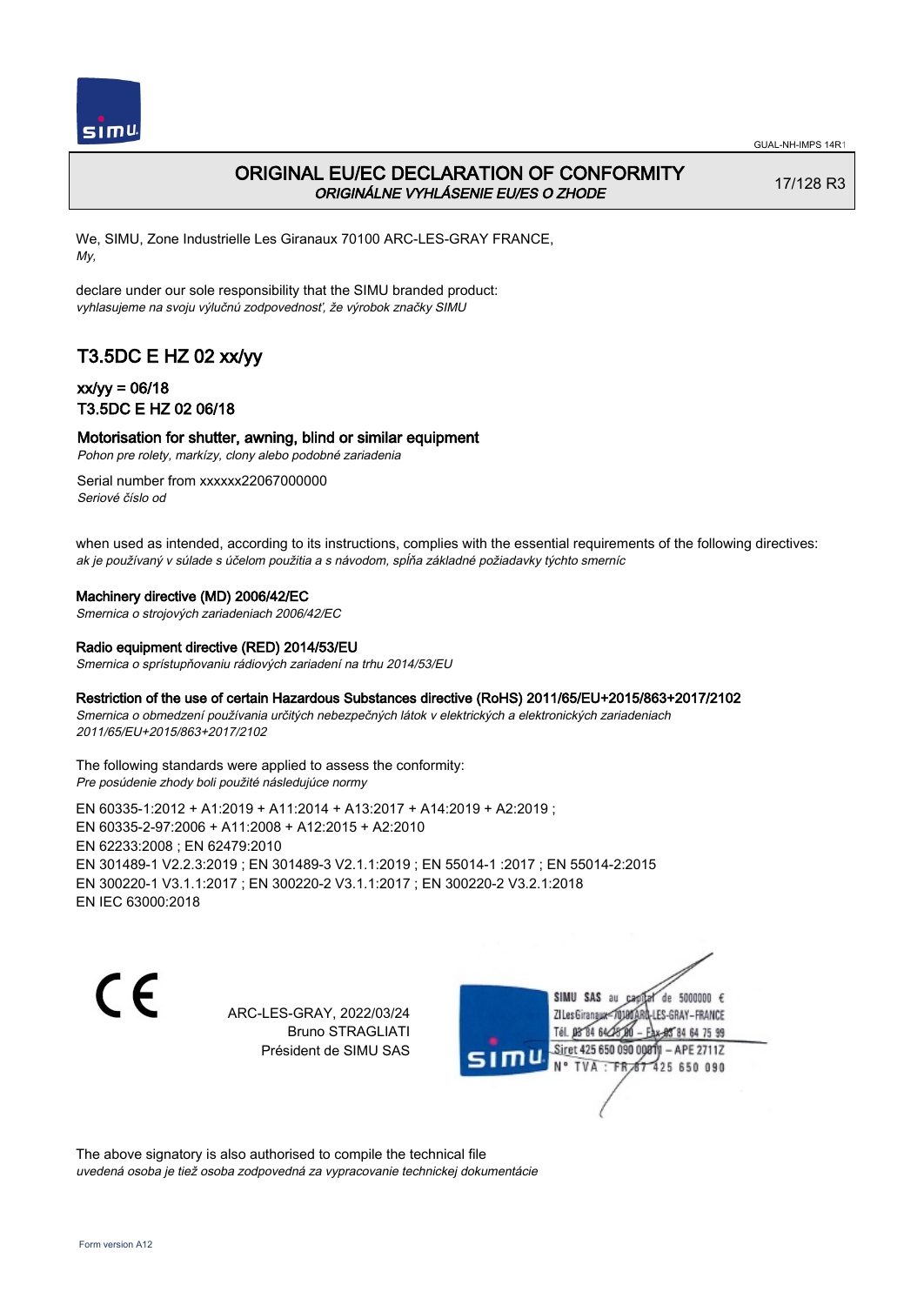

# ORIGINAL EU/EC DECLARATION OF CONFORMITY ORIGINÁLNE VYHLÁSENIE EU/ES O ZHODE

17/128 R3

We, SIMU, Zone Industrielle Les Giranaux 70100 ARC-LES-GRAY FRANCE, My,

declare under our sole responsibility that the SIMU branded product: vyhlasujeme na svoju výlučnú zodpovednosť, že výrobok značky SIMU

# T3.5DC E HZ 02 xx/yy

## xx/yy = 06/18 T3.5DC E HZ 02 06/18

### Motorisation for shutter, awning, blind or similar equipment

Pohon pre rolety, markízy, clony alebo podobné zariadenia

Serial number from xxxxxx22067000000 Seriové číslo od

when used as intended, according to its instructions, complies with the essential requirements of the following directives: ak je používaný v súlade s účelom použitia a s návodom, spĺňa základné požiadavky týchto smerníc

### Machinery directive (MD) 2006/42/EC

Smernica o strojových zariadeniach 2006/42/EC

#### Radio equipment directive (RED) 2014/53/EU

Smernica o sprístupňovaniu rádiových zariadení na trhu 2014/53/EU

### Restriction of the use of certain Hazardous Substances directive (RoHS) 2011/65/EU+2015/863+2017/2102

Smernica o obmedzení používania určitých nebezpečných látok v elektrických a elektronických zariadeniach 2011/65/EU+2015/863+2017/2102

#### The following standards were applied to assess the conformity: Pre posúdenie zhody boli použité následujúce normy

EN 60335‑1:2012 + A1:2019 + A11:2014 + A13:2017 + A14:2019 + A2:2019 ; EN 60335‑2‑97:2006 + A11:2008 + A12:2015 + A2:2010 EN 62233:2008 ; EN 62479:2010 EN 301489‑1 V2.2.3:2019 ; EN 301489‑3 V2.1.1:2019 ; EN 55014‑1 :2017 ; EN 55014‑2:2015 EN 300220‑1 V3.1.1:2017 ; EN 300220‑2 V3.1.1:2017 ; EN 300220‑2 V3.2.1:2018 EN IEC 63000:2018

 $\epsilon$ 

ARC-LES-GRAY, 2022/03/24 Bruno STRAGLIATI Président de SIMU SAS



The above signatory is also authorised to compile the technical file uvedená osoba je tiež osoba zodpovedná za vypracovanie technickej dokumentácie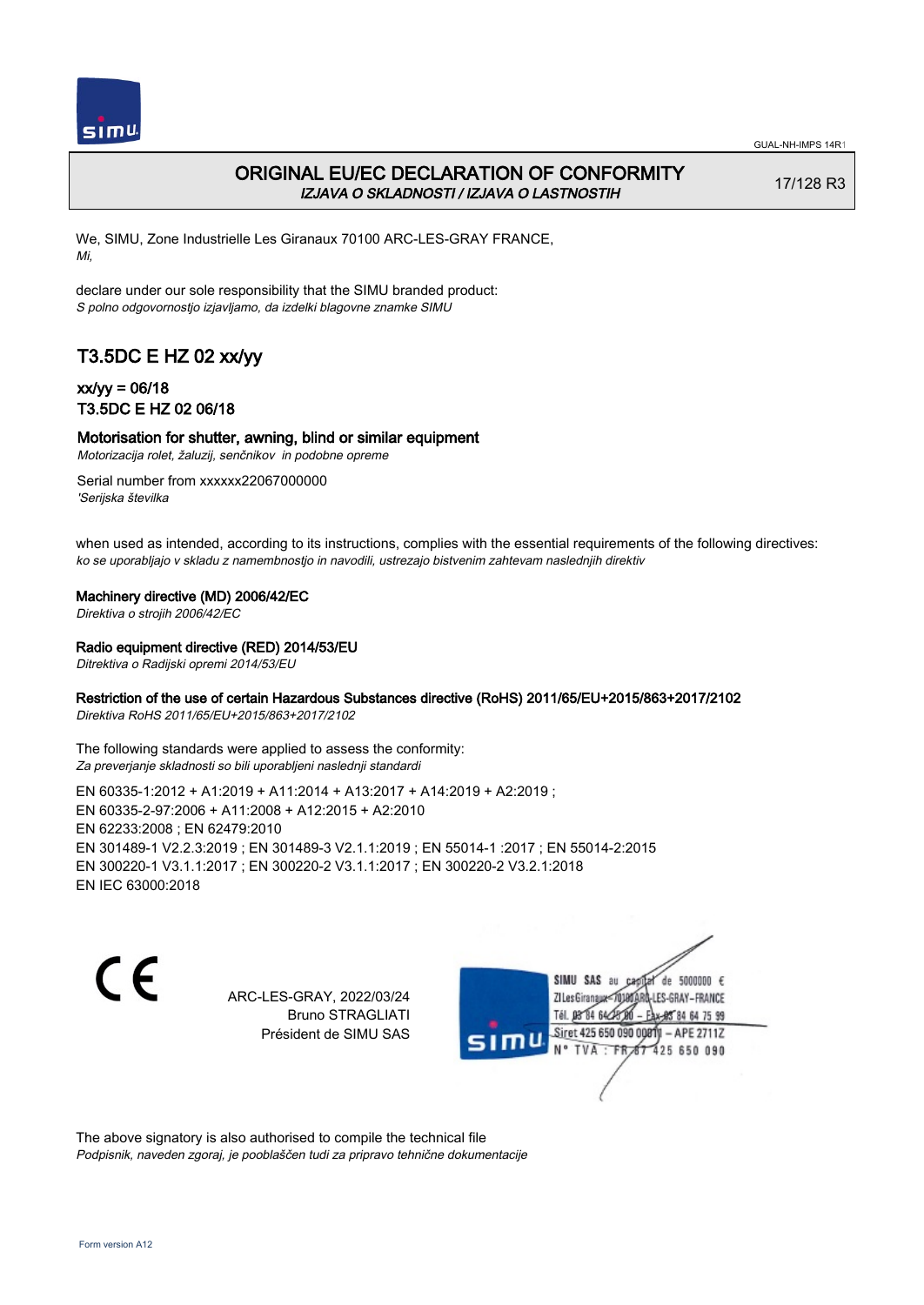

# ORIGINAL EU/EC DECLARATION OF CONFORMITY IZJAVA O SKLADNOSTI / IZJAVA O LASTNOSTIH

17/128 R3

We, SIMU, Zone Industrielle Les Giranaux 70100 ARC-LES-GRAY FRANCE, Mi,

declare under our sole responsibility that the SIMU branded product: S polno odgovornostjo izjavljamo, da izdelki blagovne znamke SIMU

# T3.5DC E HZ 02 xx/yy

## xx/yy = 06/18 T3.5DC E HZ 02 06/18

### Motorisation for shutter, awning, blind or similar equipment

Motorizacija rolet, žaluzij, senčnikov in podobne opreme

Serial number from xxxxxx22067000000 'Serijska številka

when used as intended, according to its instructions, complies with the essential requirements of the following directives: ko se uporabljajo v skladu z namembnostjo in navodili, ustrezajo bistvenim zahtevam naslednjih direktiv

### Machinery directive (MD) 2006/42/EC

Direktiva o strojih 2006/42/EC

### Radio equipment directive (RED) 2014/53/EU

Ditrektiva o Radijski opremi 2014/53/EU

### Restriction of the use of certain Hazardous Substances directive (RoHS) 2011/65/EU+2015/863+2017/2102

Direktiva RoHS 2011/65/EU+2015/863+2017/2102

The following standards were applied to assess the conformity: Za preverjanje skladnosti so bili uporabljeni naslednji standardi

EN 60335‑1:2012 + A1:2019 + A11:2014 + A13:2017 + A14:2019 + A2:2019 ; EN 60335‑2‑97:2006 + A11:2008 + A12:2015 + A2:2010 EN 62233:2008 ; EN 62479:2010 EN 301489‑1 V2.2.3:2019 ; EN 301489‑3 V2.1.1:2019 ; EN 55014‑1 :2017 ; EN 55014‑2:2015 EN 300220‑1 V3.1.1:2017 ; EN 300220‑2 V3.1.1:2017 ; EN 300220‑2 V3.2.1:2018 EN IEC 63000:2018

C F

ARC-LES-GRAY, 2022/03/24 Bruno STRAGLIATI Président de SIMU SAS

de 5000000  $\epsilon$ SIMU SAS au ZI Les Giranaux-70180 LES-GRAY-FRANCE Tél. 08 R4 64 2 64 75 99 Siret 425 650 090 0081  $-$  APF 27117 125 650 090  $-FR$ 

The above signatory is also authorised to compile the technical file Podpisnik, naveden zgoraj, je pooblaščen tudi za pripravo tehnične dokumentacije